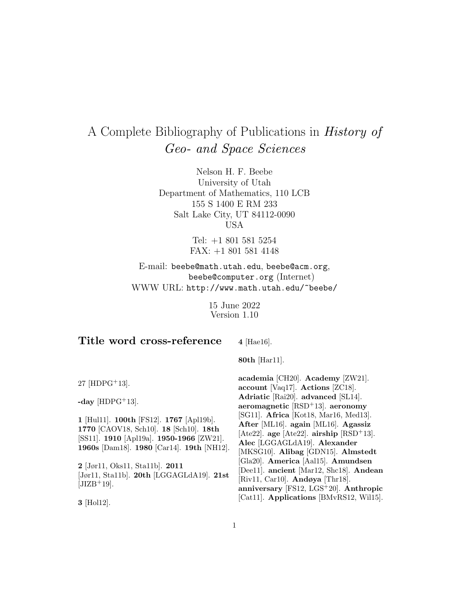# A Complete Bibliography of Publications in History of Geo- and Space Sciences

Nelson H. F. Beebe University of Utah Department of Mathematics, 110 LCB 155 S 1400 E RM 233 Salt Lake City, UT 84112-0090 USA

> Tel: +1 801 581 5254 FAX: +1 801 581 4148

E-mail: beebe@math.utah.edu, beebe@acm.org, beebe@computer.org (Internet) WWW URL: http://www.math.utah.edu/~beebe/

> 15 June 2022 Version 1.10

# **Title word cross-reference**

**4** [Hae16].

**80th** [Har11].

27 [HDPG<sup>+</sup>13].

-day  $[HDPG^+13]$ .

**1** [Hul11]. **100th** [FS12]. **1767** [Apl19b]. **1770** [CAOV18, Sch10]. **18** [Sch10]. **18th** [SS11]. **1910** [Apl19a]. **1950-1966** [ZW21]. **1960s** [Dam18]. **1980** [Car14]. **19th** [NH12].

**2** [Jør11, Oks11, Sta11b]. **2011** [Jør11, Sta11b]. **20th** [LGGAGLdA19]. **21st**  $[JIZB+19]$ .

**3** [Hol12].

**academia** [CH20]. **Academy** [ZW21]. **account** [Vaq17]. **Actions** [ZC18]. **Adriatic** [Rai20]. **advanced** [SL14]. **aeromagnetic** [RSD<sup>+</sup>13]. **aeronomy** [SG11]. **Africa** [Kot18, Mar16, Med13]. **After** [ML16]. **again** [ML16]. **Agassiz**  $[Ate22]$ . **age**  $[Ate22]$ . **airship**  $[RSD+13]$ . **Alec** [LGGAGLdA19]. **Alexander** [MKSG10]. **Alibag** [GDN15]. **Almstedt** [Gla20]. **America** [Aal15]. **Amundsen** [Dee11]. **ancient** [Mar12, Shc18]. **Andean** [Riv11, Car10]. **Andøya** [Thr18]. **anniversary** [FS12, LGS<sup>+</sup>20]. **Anthropic** [Cat11]. **Applications** [BMvRS12, Wil15].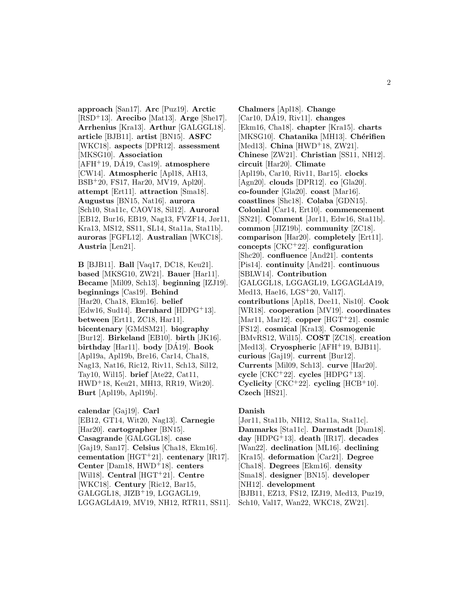**approach** [San17]. **Arc** [Puz19]. **Arctic** [RSD<sup>+</sup>13]. **Arecibo** [Mat13]. **Arge** [She17]. **Arrhenius** [Kra13]. **Arthur** [GALGGL18]. **article** [BJB11]. **artist** [BN15]. **ASFC** [WKC18]. **aspects** [DPR12]. **assessment** [MKSG10]. **Association**  $[AFH<sup>+</sup>19, D<sub>A19</sub>, Cas19]$ . **atmosphere** [CW14]. **Atmospheric** [Apl18, AH13, BSB<sup>+</sup>20, FS17, Har20, MV19, Apl20]. **attempt** [Ert11]. **attraction** [Sma18]. **Augustus** [BN15, Nat16]. **aurora** [Sch10, Sta11c, CAOV18, Sil12]. **Auroral** [EB12, Bur16, EB19, Nag13, FVZF14, Jør11, Kra13, MS12, SS11, SL14, Sta11a, Sta11b]. **auroras** [FGFL12]. **Australian** [WKC18]. **Austria** [Len21].

**B** [BJB11]. **Ball** [Vaq17, DC18, Keu21]. **based** [MKSG10, ZW21]. **Bauer** [Har11]. **Became** [Mil09, Sch13]. **beginning** [IZJ19]. **beginnings** [Cas19]. **Behind** [Har20, Cha18, Ekm16]. **belief** [Edw16, Sud14]. **Bernhard** [HDPG<sup>+</sup>13]. **between** [Ert11, ZC18, Har11]. **bicentenary** [GMdSM21]. **biography** [Bur12]. **Birkeland** [EB10]. **birth** [JK16]. **birthday** [Har11]. **body** [DA19]. ´ **Book** [Apl19a, Apl19b, Bre16, Car14, Cha18, Nag13, Nat16, Ric12, Riv11, Sch13, Sil12, Tay10, Wil15]. **brief** [Ate22, Cat11, HWD<sup>+</sup>18, Keu21, MH13, RR19, Wit20]. **Burt** [Apl19b, Apl19b].

**calendar** [Gaj19]. **Carl** [EB12, GT14, Wit20, Nag13]. **Carnegie** [Har20]. **cartographer** [BN15]. **Casagrande** [GALGGL18]. **case** [Gaj19, San17]. **Celsius** [Cha18, Ekm16]. **cementation** [HGT<sup>+</sup>21]. **centenary** [IR17]. **Center** [Dam18, HWD<sup>+</sup>18]. **centers** [Wil18]. **Central** [HGT<sup>+</sup>21]. **Centre** [WKC18]. **Century** [Ric12, Bar15, GALGGL18, JIZB<sup>+</sup>19, LGGAGL19, LGGAGLdA19, MV19, NH12, RTR11, SS11].

**Chalmers** [Apl18]. **Change**  $[Car10, D\AA19, Riv11]$ . **changes** [Ekm16, Cha18]. **chapter** [Kra15]. **charts** [MKSG10]. **Chatanika** [MH13]. **Chérifien** [Med13]. **China** [HWD<sup>+</sup>18, ZW21]. **Chinese** [ZW21]. **Christian** [SS11, NH12]. **circuit** [Har20]. **Climate** [Apl19b, Car10, Riv11, Bar15]. **clocks** [Agn20]. **clouds** [DPR12]. **co** [Gla20]. **co-founder** [Gla20]. **coast** [Mar16]. **coastlines** [Shc18]. **Colaba** [GDN15]. **Colonial** [Car14, Ert10]. **commencement** [SN21]. **Comment** [Jør11, Edw16, Sta11b]. **common** [JIZ19b]. **community** [ZC18]. **comparison** [Har20]. **completely** [Ert11]. **concepts** [CKC<sup>+</sup>22]. **configuration** [Shc20]. **confluence** [And21]. **contents** [Pis14]. **continuity** [And21]. **continuous** [SBLW14]. **Contribution** [GALGGL18, LGGAGL19, LGGAGLdA19, Med13, Hae16, LGS<sup>+</sup>20, Val17]. **contributions** [Apl18, Dee11, Nis10]. **Cook** [WR18]. **cooperation** [MV19]. **coordinates** [Mar11, Mar12]. **copper** [HGT<sup>+</sup>21]. **cosmic** [FS12]. **cosmical** [Kra13]. **Cosmogenic** [BMvRS12, Wil15]. **COST** [ZC18]. **creation** [Med13]. **Cryospheric** [AFH<sup>+</sup>19, BJB11]. **curious** [Gaj19]. **current** [Bur12]. **Currents** [Mil09, Sch13]. **curve** [Har20]. **cycle** [CKC<sup>+</sup>22]. **cycles** [HDPG<sup>+</sup>13]. **Cyclicity** [CKC<sup>+</sup>22]. **cycling** [HCB<sup>+</sup>10]. **Czech** [HS21].

#### **Danish**

[Jør11, Sta11b, NH12, Sta11a, Sta11c]. **Danmarks** [Sta11c]. **Darmstadt** [Dam18]. **day** [HDPG<sup>+</sup>13]. **death** [IR17]. **decades** [Wan22]. **declination** [ML16]. **declining** [Kra15]. **deformation** [Car21]. **Degree** [Cha18]. **Degrees** [Ekm16]. **density** [Sma18]. **designer** [BN15]. **developer** [NH12]. **development** [BJB11, EZ13, FS12, IZJ19, Med13, Puz19, Sch10, Val17, Wan22, WKC18, ZW21].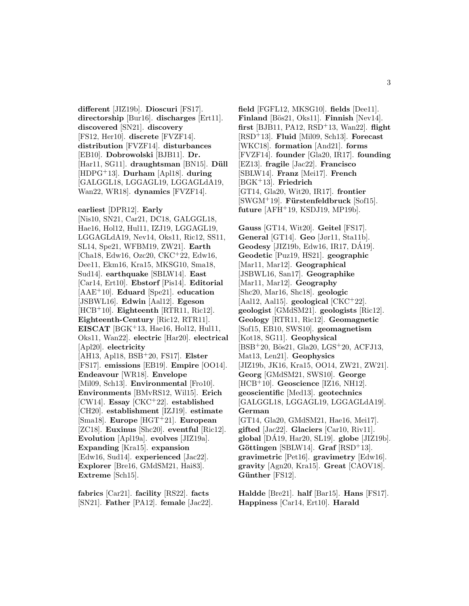**different** [JIZ19b]. **Dioscuri** [FS17]. **directorship** [Bur16]. **discharges** [Ert11]. **discovered** [SN21]. **discovery** [FS12, Her10]. **discrete** [FVZF14]. **distribution** [FVZF14]. **disturbances** [EB10]. **Dobrowolski** [BJB11]. **Dr.** [Har11, SG11]. draughtsman [BN15]. Düll [HDPG<sup>+</sup>13]. **Durham** [Apl18]. **during** [GALGGL18, LGGAGL19, LGGAGLdA19, Wan22, WR18]. **dynamics** [FVZF14].

**earliest** [DPR12]. **Early** [Nis10, SN21, Car21, DC18, GALGGL18, Hae16, Hol12, Hul11, IZJ19, LGGAGL19, LGGAGLdA19, Nev14, Oks11, Ric12, SS11, SL14, Spe21, WFBM19, ZW21]. **Earth** [Cha18, Edw16, Ozc20, CKC<sup>+</sup>22, Edw16, Dee11, Ekm16, Kra15, MKSG10, Sma18, Sud14]. **earthquake** [SBLW14]. **East** [Car14, Ert10]. **Ebstorf** [Pis14]. **Editorial** [AAE<sup>+</sup>10]. **Eduard** [Spe21]. **education** [JSBWL16]. **Edwin** [Aal12]. **Egeson** [HCB<sup>+</sup>10]. **Eighteenth** [RTR11, Ric12]. **Eighteenth-Century** [Ric12, RTR11]. **EISCAT** [BGK<sup>+</sup>13, Hae16, Hol12, Hul11, Oks11, Wan22]. **electric** [Har20]. **electrical** [Apl20]. **electricity** [AH13, Apl18, BSB<sup>+</sup>20, FS17]. **Elster** [FS17]. **emissions** [EB19]. **Empire** [OO14]. **Endeavour** [WR18]. **Envelope** [Mil09, Sch13]. **Environmental** [Fro10]. **Environments** [BMvRS12, Wil15]. **Erich** [CW14]. **Essay** [CKC<sup>+</sup>22]. **established** [CH20]. **establishment** [IZJ19]. **estimate** [Sma18]. **Europe** [HGT<sup>+</sup>21]. **European** [ZC18]. **Euxinus** [Shc20]. **eventful** [Ric12]. **Evolution** [Apl19a]. **evolves** [JIZ19a]. **Expanding** [Kra15]. **expansion** [Edw16, Sud14]. **experienced** [Jac22]. **Explorer** [Bre16, GMdSM21, Hai83]. **Extreme** [Sch15].

**fabrics** [Car21]. **facility** [RS22]. **facts** [SN21]. **Father** [PA12]. **female** [Jac22].

**field** [FGFL12, MKSG10]. **fields** [Dee11]. Finland<sup>[Bös21, Oks11]. Finnish<sup>[Nev14].</sup></sup> **first** [BJB11, PA12, RSD<sup>+</sup>13, Wan22]. **flight** [RSD<sup>+</sup>13]. **Fluid** [Mil09, Sch13]. **Forecast** [WKC18]. **formation** [And21]. **forms** [FVZF14]. **founder** [Gla20, IR17]. **founding** [EZ13]. **fragile** [Jac22]. **Francisco** [SBLW14]. **Franz** [Mei17]. **French** [BGK<sup>+</sup>13]. **Friedrich** [GT14, Gla20, Wit20, IR17]. **frontier** [SWGM<sup>+</sup>19]. **F¨urstenfeldbruck** [Sof15]. **future** [AFH<sup>+</sup>19, KSDJ19, MP19b].

**Gauss** [GT14, Wit20]. **Geitel** [FS17]. **General** [GT14]. **Geo** [Jør11, Sta11b]. **Geodesy** [JIZ19b, Edw16, IR17, DA19]. ´ **Geodetic** [Puz19, HS21]. **geographic** [Mar11, Mar12]. **Geographical** [JSBWL16, San17]. **Geographike** [Mar11, Mar12]. **Geography** [Shc20, Mar16, Shc18]. **geologic** [Aal12, Aal15]. **geological** [CKC<sup>+</sup>22]. **geologist** [GMdSM21]. **geologists** [Ric12]. **Geology** [RTR11, Ric12]. **Geomagnetic** [Sof15, EB10, SWS10]. **geomagnetism** [Kot18, SG11]. **Geophysical** [BSB<sup>+</sup>20, Bös21, Gla20, LGS<sup>+</sup>20, ACFJ13, Mat13, Len21]. **Geophysics** [JIZ19b, JK16, Kra15, OO14, ZW21, ZW21]. **Georg** [GMdSM21, SWS10]. **George** [HCB<sup>+</sup>10]. **Geoscience** [IZ16, NH12]. **geoscientific** [Med13]. **geotechnics** [GALGGL18, LGGAGL19, LGGAGLdA19]. **German** [GT14, Gla20, GMdSM21, Hae16, Mei17]. **gifted** [Jac22]. **Glaciers** [Car10, Riv11].  $global$  [DÁ19, Har20, SL19].  $globel$  [JIZ19b]. **Göttingen** [SBLW14]. **Graf** [RSD<sup>+</sup>13]. **gravimetric** [Pet16]. **gravimetry** [Edw16]. **gravity** [Agn20, Kra15]. **Great** [CAOV18]. Günther<sup>[FS12]</sup>.

**Haldde** [Bre21]. **half** [Bar15]. **Hans** [FS17]. **Happiness** [Car14, Ert10]. **Harald**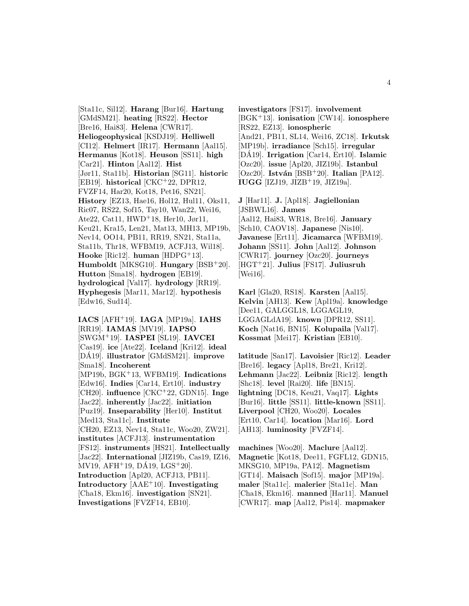[Sta11c, Sil12]. **Harang** [Bur16]. **Hartung** [GMdSM21]. **heating** [RS22]. **Hector** [Bre16, Hai83]. **Helena** [CWR17]. **Heliogeophysical** [KSDJ19]. **Helliwell** [CI12]. **Helmert** [IR17]. **Hermann** [Aal15]. **Hermanus** [Kot18]. **Heuson** [SS11]. **high** [Car21]. **Hinton** [Aal12]. **Hist** [Jør11, Sta11b]. **Historian** [SG11]. **historic** [EB19]. **historical** [CKC<sup>+</sup>22, DPR12, FVZF14, Har20, Kot18, Pet16, SN21]. **History** [EZ13, Hae16, Hol12, Hul11, Oks11, Ric07, RS22, Sof15, Tay10, Wan22, Wei16, Ate22, Cat11, HWD<sup>+</sup>18, Her10, Jør11, Keu21, Kra15, Len21, Mat13, MH13, MP19b, Nev14, OO14, PB11, RR19, SN21, Sta11a, Sta11b, Thr18, WFBM19, ACFJ13, Wil18]. **Hooke** [Ric12]. **human** [HDPG<sup>+</sup>13]. **Humboldt** [MKSG10]. **Hungary** [BSB<sup>+</sup>20]. **Hutton** [Sma18]. **hydrogen** [EB19]. **hydrological** [Val17]. **hydrology** [RR19]. **Hyphegesis** [Mar11, Mar12]. **hypothesis** [Edw16, Sud14].

**IACS** [AFH<sup>+</sup>19]. **IAGA** [MP19a]. **IAHS** [RR19]. **IAMAS** [MV19]. **IAPSO** [SWGM<sup>+</sup>19]. **IASPEI** [SL19]. **IAVCEI** [Cas19]. **ice** [Ate22]. **Iceland** [Kri12]. **ideal** [DA19]. ´ **illustrator** [GMdSM21]. **improve** [Sma18]. **Incoherent** [MP19b, BGK<sup>+</sup>13, WFBM19]. **Indications** [Edw16]. **Indies** [Car14, Ert10]. **industry** [CH20]. **influence** [CKC<sup>+</sup>22, GDN15]. **Inge** [Jac22]. **inherently** [Jac22]. **initiation** [Puz19]. **Inseparability** [Her10]. **Institut** [Med13, Sta11c]. **Institute** [CH20, EZ13, Nev14, Sta11c, Woo20, ZW21]. **institutes** [ACFJ13]. **instrumentation** [FS12]. **instruments** [HS21]. **Intellectually** [Jac22]. **International** [JIZ19b, Cas19, IZ16, MV19, AFH<sup>+</sup>19, DÁ19, LGS<sup>+</sup>20]. **Introduction** [Apl20, ACFJ13, PB11]. **Introductory** [AAE<sup>+</sup>10]. **Investigating** [Cha18, Ekm16]. **investigation** [SN21]. **Investigations** [FVZF14, EB10].

**investigators** [FS17]. **involvement** [BGK<sup>+</sup>13]. **ionisation** [CW14]. **ionosphere** [RS22, EZ13]. **ionospheric** [And21, PB11, SL14, Wei16, ZC18]. **Irkutsk** [MP19b]. **irradiance** [Sch15]. **irregular** [DA19]. ´ **Irrigation** [Car14, Ert10]. **Islamic** [Ozc20]. **issue** [Apl20, JIZ19b]. **Istanbul** [Ozc20]. **Istv´an** [BSB<sup>+</sup>20]. **Italian** [PA12]. **IUGG** [IZJ19, JIZB<sup>+</sup>19, JIZ19a].

**J** [Har11]. **J.** [Apl18]. **Jagiellonian** [JSBWL16]. **James** [Aal12, Hai83, WR18, Bre16]. **January** [Sch10, CAOV18]. **Japanese** [Nis10]. **Javanese** [Ert11]. **Jicamarca** [WFBM19]. **Johann** [SS11]. **John** [Aal12]. **Johnson** [CWR17]. **journey** [Ozc20]. **journeys** [HGT<sup>+</sup>21]. **Julius** [FS17]. **Juliusruh** [Wei16].

**Karl** [Gla20, RS18]. **Karsten** [Aal15]. **Kelvin** [AH13]. **Kew** [Apl19a]. **knowledge** [Dee11, GALGGL18, LGGAGL19, LGGAGLdA19]. **known** [DPR12, SS11]. **Koch** [Nat16, BN15]. **Kolupaila** [Val17]. **Kossmat** [Mei17]. **Kristian** [EB10].

**latitude** [San17]. **Lavoisier** [Ric12]. **Leader** [Bre16]. **legacy** [Apl18, Bre21, Kri12]. **Lehmann** [Jac22]. **Leibniz** [Ric12]. **length** [Shc18]. **level** [Rai20]. **life** [BN15]. **lightning** [DC18, Keu21, Vaq17]. **Lights** [Bur16]. **little** [SS11]. **little-known** [SS11]. **Liverpool** [CH20, Woo20]. **Locales** [Ert10, Car14]. **location** [Mar16]. **Lord** [AH13]. **luminosity** [FVZF14].

**machines** [Woo20]. **Maclure** [Aal12]. **Magnetic** [Kot18, Dee11, FGFL12, GDN15, MKSG10, MP19a, PA12]. **Magnetism** [GT14]. **Maisach** [Sof15]. **major** [MP19a]. **maler** [Sta11c]. **malerier** [Sta11c]. **Man** [Cha18, Ekm16]. **manned** [Har11]. **Manuel** [CWR17]. **map** [Aal12, Pis14]. **mapmaker**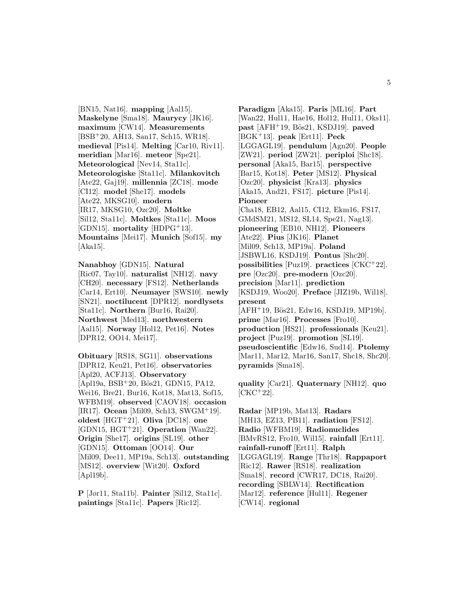[BN15, Nat16]. **mapping** [Aal15]. **Maskelyne** [Sma18]. **Maurycy** [JK16]. **maximum** [CW14]. **Measurements** [BSB<sup>+</sup>20, AH13, San17, Sch15, WR18]. **medieval** [Pis14]. **Melting** [Car10, Riv11]. **meridian** [Mar16]. **meteor** [Spe21]. **Meteorological** [Nev14, Sta11c]. **Meteorologiske** [Sta11c]. **Milankovitch** [Ate22, Gaj19]. **millennia** [ZC18]. **mode** [CI12]. **model** [She17]. **models** [Ate22, MKSG10]. **modern** [IR17, MKSG10, Ozc20]. **Moltke** [Sil12, Sta11c]. **Moltkes** [Sta11c]. **Moos**  $[GDN15]$ . **mortality**  $[HDPG^+13]$ . **Mountains** [Mei17]. **Munich** [Sof15]. **my** [Aka15].

**Nanabhoy** [GDN15]. **Natural** [Ric07, Tay10]. **naturalist** [NH12]. **navy** [CH20]. **necessary** [FS12]. **Netherlands** [Car14, Ert10]. **Neumayer** [SWS10]. **newly** [SN21]. **noctilucent** [DPR12]. **nordlysets** [Sta11c]. **Northern** [Bur16, Rai20]. **Northwest** [Med13]. **northwestern** [Aal15]. **Norway** [Hol12, Pet16]. **Notes** [DPR12, OO14, Mei17].

**Obituary** [RS18, SG11]. **observations** [DPR12, Keu21, Pet16]. **observatories** [Apl20, ACFJ13]. **Observatory**  $[Apl19a, BSB<sup>+</sup>20, Bös21, GDN15, PA12,$ Wei16, Bre21, Bur16, Kot18, Mat13, Sof15, WFBM19]. **observed** [CAOV18]. **occasion** [IR17]. **Ocean** [Mil09, Sch13, SWGM<sup>+</sup>19]. **oldest** [HGT<sup>+</sup>21]. **Oliva** [DC18]. **one** [GDN15, HGT<sup>+</sup>21]. **Operation** [Wan22]. **Origin** [She17]. **origins** [SL19]. **other** [GDN15]. **Ottoman** [OO14]. **Our** [Mil09, Dee11, MP19a, Sch13]. **outstanding** [MS12]. **overview** [Wit20]. **Oxford** [Apl19b].

**P** [Jør11, Sta11b]. **Painter** [Sil12, Sta11c]. **paintings** [Sta11c]. **Papers** [Ric12].

**Paradigm** [Aka15]. **Paris** [ML16]. **Part** [Wan22, Hul11, Hae16, Hol12, Hul11, Oks11]. **past** [AFH<sup>+</sup>19, Bös21, KSDJ19]. **paved** [BGK<sup>+</sup>13]. **peak** [Ert11]. **Peck** [LGGAGL19]. **pendulum** [Agn20]. **People** [ZW21]. **period** [ZW21]. **periploi** [Shc18]. **personal** [Aka15, Bar15]. **perspective** [Bar15, Kot18]. **Peter** [MS12]. **Physical** [Ozc20]. **physicist** [Kra13]. **physics** [Aka15, And21, FS17]. **picture** [Pis14]. **Pioneer** [Cha18, EB12, Aal15, CI12, Ekm16, FS17, GMdSM21, MS12, SL14, Spe21, Nag13]. **pioneering** [EB10, NH12]. **Pioneers** [Ate22]. **Pius** [JK16]. **Planet** [Mil09, Sch13, MP19a]. **Poland** [JSBWL16, KSDJ19]. **Pontus** [Shc20]. **possibilities** [Puz19]. **practices** [CKC<sup>+</sup>22]. **pre** [Ozc20]. **pre-modern** [Ozc20]. **precision** [Mar11]. **prediction** [KSDJ19, Woo20]. **Preface** [JIZ19b, Wil18]. **present**  $[AFH<sup>+</sup>19, B\ddot{o}s21, Edw16, KSDJ19, MP19b].$ **prime** [Mar16]. **Processes** [Fro10]. **production** [HS21]. **professionals** [Keu21]. **project** [Puz19]. **promotion** [SL19]. **pseudoscientific** [Edw16, Sud14]. **Ptolemy** [Mar11, Mar12, Mar16, San17, Shc18, Shc20]. **pyramids** [Sma18].

**quality** [Car21]. **Quaternary** [NH12]. **quo**  $[CKC+22]$ .

**Radar** [MP19b, Mat13]. **Radars** [MH13, EZ13, PB11]. **radiation** [FS12]. **Radio** [WFBM19]. **Radionuclides** [BMvRS12, Fro10, Wil15]. **rainfall** [Ert11]. **rainfall-runoff** [Ert11]. **Ralph** [LGGAGL19]. **Range** [Thr18]. **Rappaport** [Ric12]. **Rawer** [RS18]. **realization** [Sma18]. **record** [CWR17, DC18, Rai20]. **recording** [SBLW14]. **Rectification** [Mar12]. **reference** [Hul11]. **Regener** [CW14]. **regional**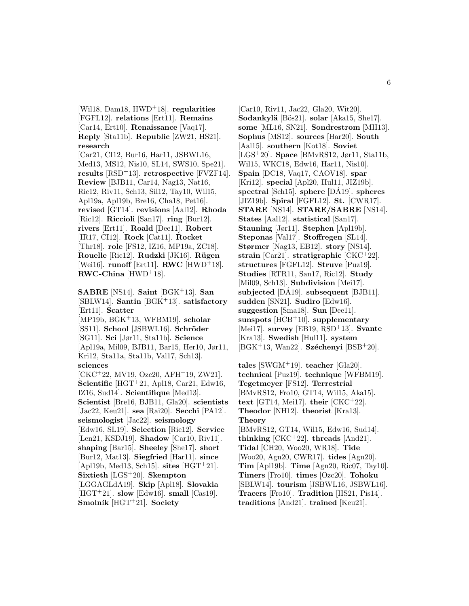[Wil18, Dam18, HWD<sup>+</sup>18]. **regularities** [FGFL12]. **relations** [Ert11]. **Remains** [Car14, Ert10]. **Renaissance** [Vaq17]. **Reply** [Sta11b]. **Republic** [ZW21, HS21]. **research**

[Car21, CI12, Bur16, Har11, JSBWL16, Med13, MS12, Nis10, SL14, SWS10, Spe21]. **results** [RSD<sup>+</sup>13]. **retrospective** [FVZF14]. **Review** [BJB11, Car14, Nag13, Nat16, Ric12, Riv11, Sch13, Sil12, Tay10, Wil15, Apl19a, Apl19b, Bre16, Cha18, Pet16]. **revised** [GT14]. **revisions** [Aal12]. **Rhoda** [Ric12]. **Riccioli** [San17]. **ring** [Bur12]. **rivers** [Ert11]. **Roald** [Dee11]. **Robert** [IR17, CI12]. **Rock** [Cat11]. **Rocket** [Thr18]. **role** [FS12, IZ16, MP19a, ZC18]. **Rouelle** [Ric12]. **Rudzki** [JK16]. **R¨ugen** [Wei16]. **runoff** [Ert11]. **RWC** [HWD<sup>+</sup>18]. **RWC-China** [HWD<sup>+</sup>18].

**SABRE** [NS14]. **Saint** [BGK<sup>+</sup>13]. **San** [SBLW14]. **Santin** [BGK<sup>+</sup>13]. **satisfactory** [Ert11]. **Scatter** [MP19b, BGK<sup>+</sup>13, WFBM19]. **scholar** [SS11]. **School** [JSBWL16]. **Schröder** [SG11]. **Sci** [Jør11, Sta11b]. **Science** [Apl19a, Mil09, BJB11, Bar15, Her10, Jør11, Kri12, Sta11a, Sta11b, Val17, Sch13]. **sciences** [CKC<sup>+</sup>22, MV19, Ozc20, AFH<sup>+</sup>19, ZW21]. **Scientific** [HGT<sup>+</sup>21, Apl18, Car21, Edw16, IZ16, Sud14]. **Scientifique** [Med13]. **Scientist** [Bre16, BJB11, Gla20]. **scientists** [Jac22, Keu21]. **sea** [Rai20]. **Secchi** [PA12]. **seismologist** [Jac22]. **seismology** [Edw16, SL19]. **Selection** [Ric12]. **Service** [Len21, KSDJ19]. **Shadow** [Car10, Riv11]. **shaping** [Bar15]. **Sheeley** [She17]. **short** [Bur12, Mat13]. **Siegfried** [Har11]. **since** [Apl19b, Med13, Sch15]. **sites** [HGT<sup>+</sup>21]. **Sixtieth** [LGS<sup>+</sup>20]. **Skempton** [LGGAGLdA19]. **Skip** [Apl18]. **Slovakia** [HGT<sup>+</sup>21]. **slow** [Edw16]. **small** [Cas19]. **Smolník** [HGT<sup>+</sup>21]. **Society** 

[Car10, Riv11, Jac22, Gla20, Wit20]. Sodankylä [Bös21]. **solar** [Aka15, She17]. **some** [ML16, SN21]. **Sondrestrom** [MH13]. **Sophus** [MS12]. **sources** [Har20]. **South** [Aal15]. **southern** [Kot18]. **Soviet** [LGS<sup>+</sup>20]. **Space** [BMvRS12, Jør11, Sta11b, Wil15, WKC18, Edw16, Har11, Nis10]. **Spain** [DC18, Vaq17, CAOV18]. **spar** [Kri12]. **special** [Apl20, Hul11, JIZ19b]. **spectral** [Sch15]. **sphere** [DA19]. ´ **spheres** [JIZ19b]. **Spiral** [FGFL12]. **St.** [CWR17]. **STARE** [NS14]. **STARE/SABRE** [NS14]. **States** [Aal12]. **statistical** [San17]. **Stauning** [Jør11]. **Stephen** [Apl19b]. **Steponas** [Val17]. **Stoffregen** [SL14]. **Størmer** [Nag13, EB12]. **story** [NS14]. **strain** [Car21]. **stratigraphic** [CKC<sup>+</sup>22]. **structures** [FGFL12]. **Struve** [Puz19]. **Studies** [RTR11, San17, Ric12]. **Study** [Mil09, Sch13]. **Subdivision** [Mei17]. subjected [DA19]. subsequent [BJB11]. **sudden** [SN21]. **Sudiro** [Edw16]. **suggestion** [Sma18]. **Sun** [Dee11]. **sunspots** [HCB<sup>+</sup>10]. **supplementary** [Mei17]. **survey** [EB19, RSD<sup>+</sup>13]. **Svante** [Kra13]. **Swedish** [Hul11]. **system** [BGK<sup>+</sup>13, Wan22]. **Széchenyi** [BSB<sup>+</sup>20].

**tales** [SWGM<sup>+</sup>19]. **teacher** [Gla20]. **technical** [Puz19]. **technique** [WFBM19]. **Tegetmeyer** [FS12]. **Terrestrial** [BMvRS12, Fro10, GT14, Wil15, Aka15]. **text** [GT14, Mei17]. **their** [CKC<sup>+</sup>22]. **Theodor** [NH12]. **theorist** [Kra13]. **Theory** [BMvRS12, GT14, Wil15, Edw16, Sud14]. **thinking** [CKC<sup>+</sup>22]. **threads** [And21]. **Tidal** [CH20, Woo20, WR18]. **Tide** [Woo20, Agn20, CWR17]. **tides** [Agn20]. **Tim** [Apl19b]. **Time** [Agn20, Ric07, Tay10]. **Timers** [Fro10]. **times** [Ozc20]. **Tohoku** [SBLW14]. **tourism** [JSBWL16, JSBWL16]. **Tracers** [Fro10]. **Tradition** [HS21, Pis14]. **traditions** [And21]. **trained** [Keu21].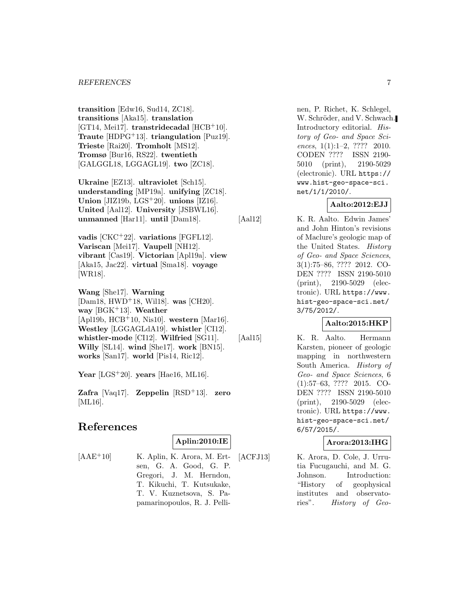#### *REFERENCES* 7

**transition** [Edw16, Sud14, ZC18]. **transitions** [Aka15]. **translation** [GT14, Mei17]. **transtridecadal** [HCB<sup>+</sup>10]. **Traute** [HDPG<sup>+</sup>13]. **triangulation** [Puz19]. **Trieste** [Rai20]. **Tromholt** [MS12]. **Tromsø** [Bur16, RS22]. **twentieth** [GALGGL18, LGGAGL19]. **two** [ZC18].

**Ukraine** [EZ13]. **ultraviolet** [Sch15]. **understanding** [MP19a]. **unifying** [ZC18]. **Union** [JIZ19b, LGS<sup>+</sup>20]. **unions** [IZ16]. **United** [Aal12]. **University** [JSBWL16]. **unmanned** [Har11]. **until** [Dam18].

**vadis** [CKC<sup>+</sup>22]. **variations** [FGFL12]. **Variscan** [Mei17]. **Vaupell** [NH12]. **vibrant** [Cas19]. **Victorian** [Apl19a]. **view** [Aka15, Jac22]. **virtual** [Sma18]. **voyage** [WR18].

**Wang** [She17]. **Warning** [Dam18, HWD<sup>+</sup>18, Wil18]. **was** [CH20]. **way** [BGK<sup>+</sup>13]. **Weather** [Apl19b, HCB<sup>+</sup>10, Nis10]. **western** [Mar16]. **Westley** [LGGAGLdA19]. **whistler** [CI12]. **whistler-mode** [CI12]. **Wilfried** [SG11]. **Willy** [SL14]. **wind** [She17]. **work** [BN15]. **works** [San17]. **world** [Pis14, Ric12].

**Year** [LGS<sup>+</sup>20]. **years** [Hae16, ML16].

**Zafra** [Vaq17]. **Zeppelin** [RSD<sup>+</sup>13]. **zero** [ML16].

# **References**

### **Aplin:2010:IE**

 $[AAE^+10]$  K. Aplin, K. Arora, M. Ertsen, G. A. Good, G. P. Gregori, J. M. Herndon, T. Kikuchi, T. Kutsukake, T. V. Kuznetsova, S. Papamarinopoulos, R. J. Pellinen, P. Richet, K. Schlegel, W. Schröder, and V. Schwach. Introductory editorial. History of Geo- and Space Sciences, 1(1):1-2, ???? 2010. CODEN ???? ISSN 2190- 5010 (print), 2190-5029 (electronic). URL https:// www.hist-geo-space-sci. net/1/1/2010/.

### **Aalto:2012:EJJ**

[Aal12] K. R. Aalto. Edwin James'

and John Hinton's revisions of Maclure's geologic map of the United States. History of Geo- and Space Sciences, 3(1):75–86, ???? 2012. CO-DEN ???? ISSN 2190-5010 (print), 2190-5029 (electronic). URL https://www. hist-geo-space-sci.net/ 3/75/2012/.

### **Aalto:2015:HKP**

[Aal15] K. R. Aalto. Hermann Karsten, pioneer of geologic mapping in northwestern South America. History of Geo- and Space Sciences, 6 (1):57–63, ???? 2015. CO-DEN ???? ISSN 2190-5010 (print), 2190-5029 (electronic). URL https://www. hist-geo-space-sci.net/ 6/57/2015/.

### **Arora:2013:IHG**

[ACFJ13] K. Arora, D. Cole, J. Urrutia Fucugauchi, and M. G. Johnson. Introduction: "History of geophysical institutes and observatories". History of Geo-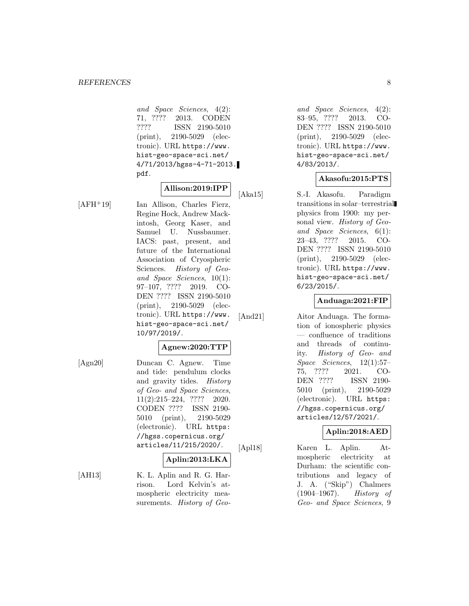and Space Sciences, 4(2): 71, ???? 2013. CODEN ???? ISSN 2190-5010 (print), 2190-5029 (electronic). URL https://www. hist-geo-space-sci.net/ 4/71/2013/hgss-4-71-2013. pdf.

# **Allison:2019:IPP**

[AFH<sup>+</sup>19] Ian Allison, Charles Fierz, Regine Hock, Andrew Mackintosh, Georg Kaser, and Samuel U. Nussbaumer. IACS: past, present, and future of the International Association of Cryospheric Sciences. History of Geoand Space Sciences, 10(1): 97–107, ???? 2019. CO-DEN ???? ISSN 2190-5010 (print), 2190-5029 (electronic). URL https://www. hist-geo-space-sci.net/ 10/97/2019/.

#### **Agnew:2020:TTP**

[Agn20] Duncan C. Agnew. Time and tide: pendulum clocks and gravity tides. History of Geo- and Space Sciences, 11(2):215–224, ???? 2020. CODEN ???? ISSN 2190- 5010 (print), 2190-5029 (electronic). URL https: //hgss.copernicus.org/ articles/11/215/2020/.

#### **Aplin:2013:LKA**

[AH13] K. L. Aplin and R. G. Harrison. Lord Kelvin's atmospheric electricity measurements. History of Geo-

and Space Sciences, 4(2): 83–95, ???? 2013. CO-DEN ???? ISSN 2190-5010 (print), 2190-5029 (electronic). URL https://www. hist-geo-space-sci.net/ 4/83/2013/.

### **Akasofu:2015:PTS**

[Aka15] S.-I. Akasofu. Paradigm transitions in solar–terrestrial physics from 1900: my personal view. History of Geoand Space Sciences, 6(1): 23–43, ???? 2015. CO-DEN ???? ISSN 2190-5010 (print), 2190-5029 (electronic). URL https://www. hist-geo-space-sci.net/ 6/23/2015/.

### **Anduaga:2021:FIP**

[And21] Aitor Anduaga. The formation of ionospheric physics — confluence of traditions and threads of continuity. History of Geo- and Space Sciences, 12(1):57– 75, ???? 2021. CO-DEN ???? ISSN 2190- 5010 (print), 2190-5029 (electronic). URL https: //hgss.copernicus.org/ articles/12/57/2021/.

### **Aplin:2018:AED**

[Apl18] Karen L. Aplin. Atmospheric electricity at Durham: the scientific contributions and legacy of J. A. ("Skip") Chalmers (1904–1967). History of Geo- and Space Sciences, 9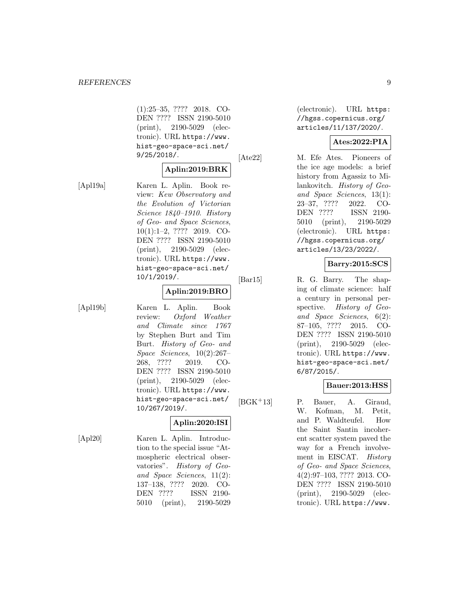(1):25–35, ???? 2018. CO-DEN ???? ISSN 2190-5010 (print), 2190-5029 (electronic). URL https://www. hist-geo-space-sci.net/ 9/25/2018/.

### **Aplin:2019:BRK**

[Apl19a] Karen L. Aplin. Book review: Kew Observatory and the Evolution of Victorian Science 1840–1910. History of Geo- and Space Sciences, 10(1):1–2, ???? 2019. CO-DEN ???? ISSN 2190-5010 (print), 2190-5029 (electronic). URL https://www. hist-geo-space-sci.net/ 10/1/2019/.

### **Aplin:2019:BRO**

[Apl19b] Karen L. Aplin. Book review: Oxford Weather and Climate since 1767 by Stephen Burt and Tim Burt. History of Geo- and Space Sciences, 10(2):267– 268, ???? 2019. CO-DEN ???? ISSN 2190-5010 (print), 2190-5029 (electronic). URL https://www. hist-geo-space-sci.net/ 10/267/2019/.

### **Aplin:2020:ISI**

[Apl20] Karen L. Aplin. Introduction to the special issue "Atmospheric electrical observatories". History of Geoand Space Sciences, 11(2): 137–138, ???? 2020. CO-DEN ???? ISSN 2190- 5010 (print), 2190-5029 (electronic). URL https: //hgss.copernicus.org/ articles/11/137/2020/.

### **Ates:2022:PIA**

[Ate22] M. Efe Ates. Pioneers of the ice age models: a brief history from Agassiz to Milankovitch. History of Geoand Space Sciences, 13(1): 23–37, ???? 2022. CO-DEN ???? ISSN 2190- 5010 (print), 2190-5029 (electronic). URL https: //hgss.copernicus.org/ articles/13/23/2022/.

### **Barry:2015:SCS**

[Bar15] R. G. Barry. The shaping of climate science: half a century in personal perspective. History of Geoand Space Sciences, 6(2): 87–105, ???? 2015. CO-DEN ???? ISSN 2190-5010 (print), 2190-5029 (electronic). URL https://www. hist-geo-space-sci.net/ 6/87/2015/.

#### **Bauer:2013:HSS**

[BGK<sup>+</sup>13] P. Bauer, A. Giraud, W. Kofman, M. Petit, and P. Waldteufel. How the Saint Santin incoherent scatter system paved the way for a French involvement in EISCAT. History of Geo- and Space Sciences, 4(2):97–103, ???? 2013. CO-DEN ???? ISSN 2190-5010 (print), 2190-5029 (electronic). URL https://www.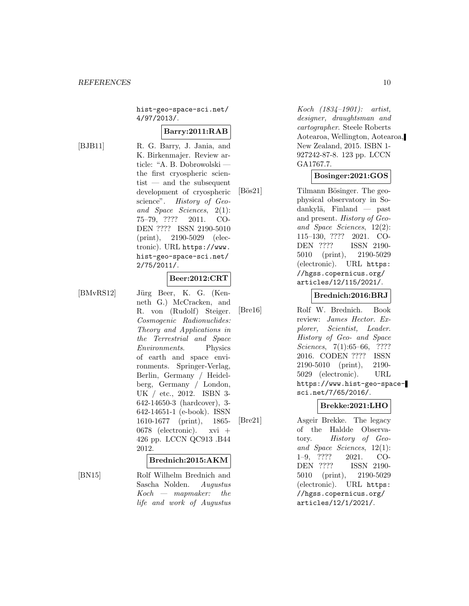hist-geo-space-sci.net/ 4/97/2013/.

### **Barry:2011:RAB**

[BJB11] R. G. Barry, J. Jania, and K. Birkenmajer. Review article: "A. B. Dobrowolski the first cryospheric scientist — and the subsequent development of cryospheric science". History of Geoand Space Sciences, 2(1): 75–79, ???? 2011. CO-DEN ???? ISSN 2190-5010 (print), 2190-5029 (electronic). URL https://www. hist-geo-space-sci.net/ 2/75/2011/.

#### **Beer:2012:CRT**

[BMvRS12] Jürg Beer, K. G. (Kenneth G.) McCracken, and R. von (Rudolf) Steiger. Cosmogenic Radionuclides: Theory and Applications in the Terrestrial and Space Environments. Physics of earth and space environments. Springer-Verlag, Berlin, Germany / Heidelberg, Germany / London, UK / etc., 2012. ISBN 3- 642-14650-3 (hardcover), 3- 642-14651-1 (e-book). ISSN 1610-1677 (print), 1865- 0678 (electronic). xvi + 426 pp. LCCN QC913 .B44 2012.

#### **Brednich:2015:AKM**

life and work of Augustus

[BN15] Rolf Wilhelm Brednich and Sascha Nolden. Augustus  $Koch$  — mapmaker: the Koch (1834–1901): artist, designer, draughtsman and cartographer. Steele Roberts Aotearoa, Wellington, Aotearoa, New Zealand, 2015. ISBN 1- 927242-87-8. 123 pp. LCCN GA1767.7.

### **Bosinger:2021:GOS**

[Bös21] Tilmann Bösinger. The geophysical observatory in Sodankylä, Finland — past and present. History of Geoand Space Sciences, 12(2): 115–130, ???? 2021. CO-DEN ???? ISSN 2190- 5010 (print), 2190-5029 (electronic). URL https: //hgss.copernicus.org/ articles/12/115/2021/.

#### **Brednich:2016:BRJ**

[Bre16] Rolf W. Brednich. Book review: James Hector. Explorer, Scientist, Leader. History of Geo- and Space Sciences, 7(1):65–66, ???? 2016. CODEN ???? ISSN 2190-5010 (print), 2190- 5029 (electronic). URL https://www.hist-geo-spacesci.net/7/65/2016/.

#### **Brekke:2021:LHO**

[Bre21] Asgeir Brekke. The legacy of the Haldde Observatory. History of Geoand Space Sciences, 12(1): 1–9, ???? 2021. CO-DEN ???? ISSN 2190- 5010 (print), 2190-5029 (electronic). URL https: //hgss.copernicus.org/ articles/12/1/2021/.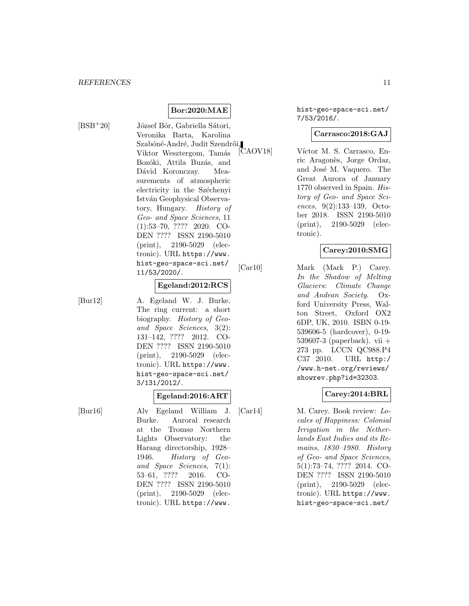$[BSB+20]$  József Bór, Gabriella Sátori, Veronika Barta, Karolina Szabóné-André, Judit Szendrői,<br>Viktor Wesztergom, Tamás, [CAOV18] Viktor Wesztergom, Tamás Bozóki, Attila Buzás, and Dávid Koronczay. Measurements of atmospheric electricity in the Széchenyi István Geophysical Observatory, Hungary. History of Geo- and Space Sciences, 11 (1):53–70, ???? 2020. CO-DEN ???? ISSN 2190-5010 (print), 2190-5029 (electronic). URL https://www. hist-geo-space-sci.net/ 11/53/2020/.

**Bor:2020:MAE**

#### **Egeland:2012:RCS**

[Bur12] A. Egeland W. J. Burke. The ring current: a short biography. History of Geoand Space Sciences, 3(2): 131–142, ???? 2012. CO-DEN ???? ISSN 2190-5010 (print), 2190-5029 (electronic). URL https://www. hist-geo-space-sci.net/ 3/131/2012/.

### **Egeland:2016:ART**

[Bur16] Alv Egeland William J. Burke. Auroral research at the Tromsø Northern Lights Observatory: the Harang directorship, 1928– 1946. History of Geoand Space Sciences, 7(1): 53–61, ???? 2016. CO-DEN ???? ISSN 2190-5010 (print), 2190-5029 (electronic). URL https://www.

hist-geo-space-sci.net/ 7/53/2016/.

### **Carrasco:2018:GAJ**

Víctor M. S. Carrasco, Enric Aragonès, Jorge Ordaz, and José M. Vaquero. The Great Aurora of January 1770 observed in Spain. History of Geo- and Space Sciences, 9(2):133–139, October 2018. ISSN 2190-5010 (print), 2190-5029 (electronic).

### **Carey:2010:SMG**

[Car10] Mark (Mark P.) Carey. In the Shadow of Melting Glaciers: Climate Change and Andean Society. Oxford University Press, Walton Street, Oxford OX2 6DP, UK, 2010. ISBN 0-19- 539606-5 (hardcover), 0-19- 539607-3 (paperback). vii  $+$ 273 pp. LCCN QC988.P4 C37 2010. URL http:/ /www.h-net.org/reviews/ showrev.php?id=32303.

#### **Carey:2014:BRL**

[Car14] M. Carey. Book review: Locales of Happiness: Colonial Irrigation in the Netherlands East Indies and its Remains, 1830–1980. History of Geo- and Space Sciences, 5(1):73–74, ???? 2014. CO-DEN ???? ISSN 2190-5010 (print), 2190-5029 (electronic). URL https://www. hist-geo-space-sci.net/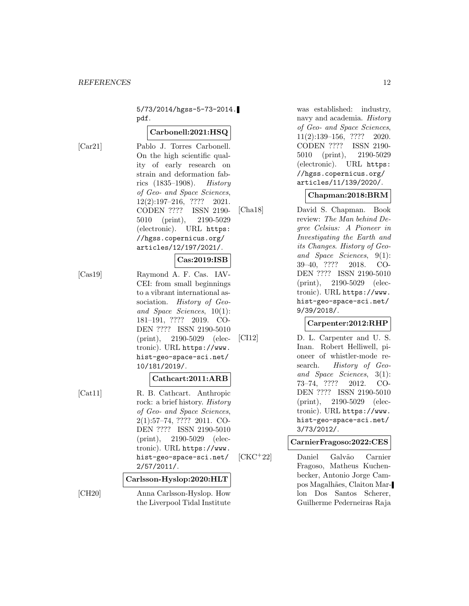5/73/2014/hgss-5-73-2014. pdf.

#### **Carbonell:2021:HSQ**

[Car21] Pablo J. Torres Carbonell. On the high scientific quality of early research on strain and deformation fabrics  $(1835-1908)$ . *History* of Geo- and Space Sciences, 12(2):197–216, ???? 2021. CODEN ???? ISSN 2190- 5010 (print), 2190-5029 (electronic). URL https: //hgss.copernicus.org/ articles/12/197/2021/.

#### **Cas:2019:ISB**

[Cas19] Raymond A. F. Cas. IAV-CEI: from small beginnings to a vibrant international association. History of Geoand Space Sciences, 10(1): 181–191, ???? 2019. CO-DEN ???? ISSN 2190-5010 (print), 2190-5029 (electronic). URL https://www. hist-geo-space-sci.net/ 10/181/2019/.

### **Cathcart:2011:ARB**

[Cat11] R. B. Cathcart. Anthropic rock: a brief history. History of Geo- and Space Sciences, 2(1):57–74, ???? 2011. CO-DEN ???? ISSN 2190-5010 (print), 2190-5029 (electronic). URL https://www. hist-geo-space-sci.net/ 2/57/2011/.

#### **Carlsson-Hyslop:2020:HLT**

[CH20] Anna Carlsson-Hyslop. How the Liverpool Tidal Institute was established: industry, navy and academia. History of Geo- and Space Sciences, 11(2):139–156, ???? 2020. CODEN ???? ISSN 2190- 5010 (print), 2190-5029 (electronic). URL https: //hgss.copernicus.org/ articles/11/139/2020/.

#### **Chapman:2018:BRM**

[Cha18] David S. Chapman. Book review: The Man behind Degree Celsius: A Pioneer in Investigating the Earth and its Changes. History of Geoand Space Sciences, 9(1): 39–40, ???? 2018. CO-DEN ???? ISSN 2190-5010 (print), 2190-5029 (electronic). URL https://www. hist-geo-space-sci.net/ 9/39/2018/.

#### **Carpenter:2012:RHP**

[CI12] D. L. Carpenter and U. S. Inan. Robert Helliwell, pioneer of whistler-mode research. *History of Geo*and Space Sciences, 3(1): 73–74, ???? 2012. CO-DEN ???? ISSN 2190-5010 (print), 2190-5029 (electronic). URL https://www. hist-geo-space-sci.net/ 3/73/2012/.

### **CarnierFragoso:2022:CES**

[CKC<sup>+</sup>22] Daniel Galv˜ao Carnier Fragoso, Matheus Kuchenbecker, Antonio Jorge Campos Magalh˜aes, Claiton Marlon Dos Santos Scherer, Guilherme Pederneiras Raja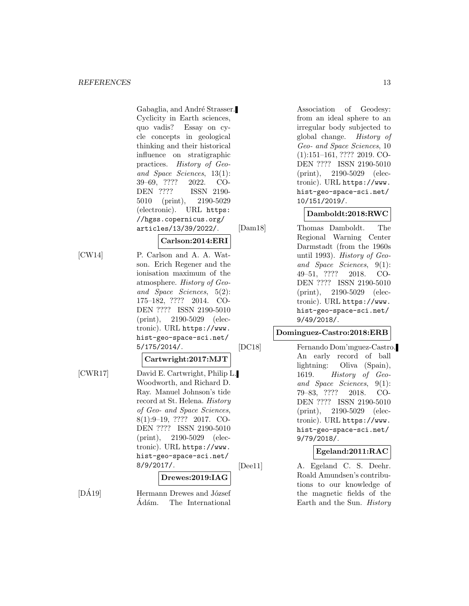Gabaglia, and André Strasser. Cyclicity in Earth sciences, quo vadis? Essay on cycle concepts in geological thinking and their historical influence on stratigraphic practices. History of Geoand Space Sciences, 13(1): 39–69, ???? 2022. CO-DEN ???? ISSN 2190- 5010 (print), 2190-5029 (electronic). URL https: //hgss.copernicus.org/ articles/13/39/2022/.

#### **Carlson:2014:ERI**

[CW14] P. Carlson and A. A. Watson. Erich Regener and the ionisation maximum of the atmosphere. History of Geoand Space Sciences, 5(2): 175–182, ???? 2014. CO-DEN ???? ISSN 2190-5010 (print), 2190-5029 (electronic). URL https://www. hist-geo-space-sci.net/ 5/175/2014/.

#### **Cartwright:2017:MJT**

[CWR17] David E. Cartwright, Philip L. Woodworth, and Richard D. Ray. Manuel Johnson's tide record at St. Helena. History of Geo- and Space Sciences, 8(1):9–19, ???? 2017. CO-DEN ???? ISSN 2190-5010 (print), 2190-5029 (electronic). URL https://www. hist-geo-space-sci.net/ 8/9/2017/. **Drewes:2019:IAG**

 $[D\AA19]$  Hermann Drewes and József Ádám. The International

Association of Geodesy: from an ideal sphere to an irregular body subjected to global change. History of Geo- and Space Sciences, 10 (1):151–161, ???? 2019. CO-DEN ???? ISSN 2190-5010 (print), 2190-5029 (electronic). URL https://www. hist-geo-space-sci.net/ 10/151/2019/.

### **Damboldt:2018:RWC**

[Dam18] Thomas Damboldt. The Regional Warning Center Darmstadt (from the 1960s until 1993). History of Geoand Space Sciences, 9(1): 49–51, ???? 2018. CO-DEN ???? ISSN 2190-5010 (print), 2190-5029 (electronic). URL https://www. hist-geo-space-sci.net/ 9/49/2018/.

### **Dominguez-Castro:2018:ERB**

[DC18] Fernando Dom'ınguez-Castro. An early record of ball lightning: Oliva (Spain), 1619. History of Geoand Space Sciences, 9(1): 79–83, ???? 2018. CO-DEN ???? ISSN 2190-5010 (print), 2190-5029 (electronic). URL https://www. hist-geo-space-sci.net/ 9/79/2018/.

### **Egeland:2011:RAC**

[Dee11] A. Egeland C. S. Deehr. Roald Amundsen's contributions to our knowledge of the magnetic fields of the Earth and the Sun. History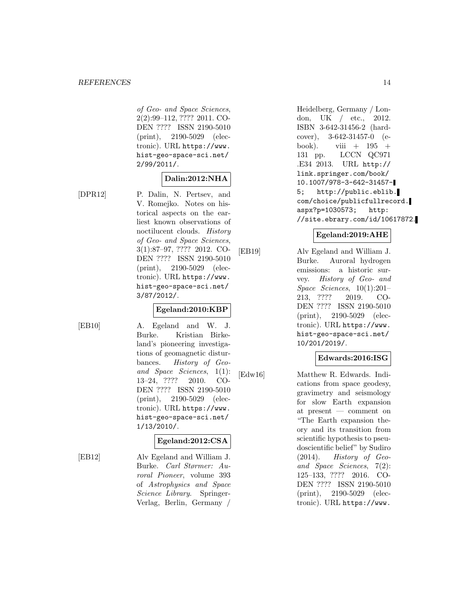of Geo- and Space Sciences, 2(2):99–112, ???? 2011. CO-DEN ???? ISSN 2190-5010 (print), 2190-5029 (electronic). URL https://www. hist-geo-space-sci.net/ 2/99/2011/.

### **Dalin:2012:NHA**

[DPR12] P. Dalin, N. Pertsev, and V. Romejko. Notes on historical aspects on the earliest known observations of noctilucent clouds. History of Geo- and Space Sciences, 3(1):87–97, ???? 2012. CO-DEN ???? ISSN 2190-5010 (print), 2190-5029 (electronic). URL https://www. hist-geo-space-sci.net/ 3/87/2012/.

#### **Egeland:2010:KBP**

[EB10] A. Egeland and W. J. Burke. Kristian Birkeland's pioneering investigations of geomagnetic disturbances. History of Geoand Space Sciences, 1(1): 13–24, ???? 2010. CO-DEN ???? ISSN 2190-5010 (print), 2190-5029 (electronic). URL https://www. hist-geo-space-sci.net/ 1/13/2010/.

#### **Egeland:2012:CSA**

[EB12] Alv Egeland and William J. Burke. Carl Størmer: Auroral Pioneer, volume 393 of Astrophysics and Space Science Library. Springer-Verlag, Berlin, Germany /

Heidelberg, Germany / London, UK / etc., 2012. ISBN 3-642-31456-2 (hardcover), 3-642-31457-0 (ebook). viii  $+$  195  $+$ 131 pp. LCCN QC971 .E34 2013. URL http:// link.springer.com/book/ 10.1007/978-3-642-31457- 5; http://public.eblib. com/choice/publicfullrecord. aspx?p=1030573; http: //site.ebrary.com/id/10617872.

### **Egeland:2019:AHE**

[EB19] Alv Egeland and William J. Burke. Auroral hydrogen emissions: a historic survey. History of Geo- and Space Sciences, 10(1):201– 213, ???? 2019. CO-DEN ???? ISSN 2190-5010 (print), 2190-5029 (electronic). URL https://www. hist-geo-space-sci.net/ 10/201/2019/.

### **Edwards:2016:ISG**

[Edw16] Matthew R. Edwards. Indications from space geodesy, gravimetry and seismology for slow Earth expansion at present — comment on "The Earth expansion theory and its transition from scientific hypothesis to pseudoscientific belief" by Sudiro (2014). History of Geoand Space Sciences, 7(2): 125–133, ???? 2016. CO-DEN ???? ISSN 2190-5010 (print), 2190-5029 (electronic). URL https://www.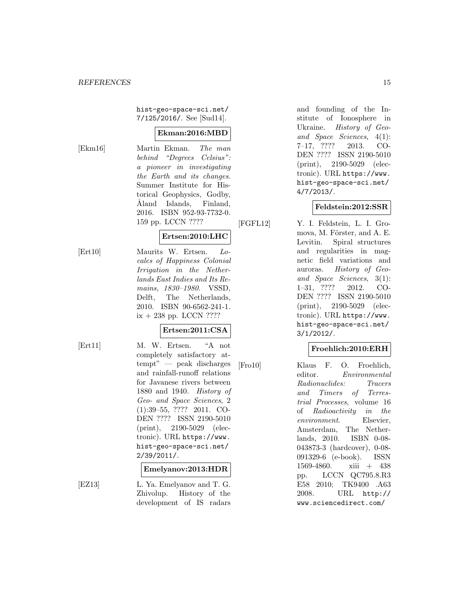hist-geo-space-sci.net/ 7/125/2016/. See [Sud14].

### **Ekman:2016:MBD**

[Ekm16] Martin Ekman. The man behind "Degrees Celsius": a pioneer in investigating the Earth and its changes. Summer Institute for Historical Geophysics, Godby, Aland Islands, Finland, 2016. ISBN 952-93-7732-0. 159 pp. LCCN ????

### **Ertsen:2010:LHC**

[Ert10] Maurits W. Ertsen. Locales of Happiness Colonial Irrigation in the Netherlands East Indies and Its Remains, 1830–1980. VSSD, Delft, The Netherlands, 2010. ISBN 90-6562-241-1.  $ix + 238$  pp. LCCN ????

### **Ertsen:2011:CSA**

[Ert11] M. W. Ertsen. "A not completely satisfactory attempt" — peak discharges and rainfall-runoff relations for Javanese rivers between 1880 and 1940. History of Geo- and Space Sciences, 2 (1):39–55, ???? 2011. CO-DEN ???? ISSN 2190-5010 (print), 2190-5029 (electronic). URL https://www. hist-geo-space-sci.net/ 2/39/2011/.

#### **Emelyanov:2013:HDR**

[EZ13] L. Ya. Emelyanov and T. G. Zhivolup. History of the development of IS radars

and founding of the Institute of Ionosphere in Ukraine. History of Geoand Space Sciences, 4(1): 7–17, ???? 2013. CO-DEN ???? ISSN 2190-5010 (print), 2190-5029 (electronic). URL https://www. hist-geo-space-sci.net/ 4/7/2013/.

### **Feldstein:2012:SSR**

[FGFL12] Y. I. Feldstein, L. I. Gromova, M. Förster, and A. E. Levitin. Spiral structures and regularities in magnetic field variations and auroras. History of Geoand Space Sciences, 3(1): 1–31, ???? 2012. CO-DEN ???? ISSN 2190-5010 (print), 2190-5029 (electronic). URL https://www. hist-geo-space-sci.net/ 3/1/2012/.

### **Froehlich:2010:ERH**

[Fro10] Klaus F. O. Froehlich, editor. Environmental Radionuclides: Tracers and Timers of Terrestrial Processes, volume 16 of Radioactivity in the environment. Elsevier, Amsterdam, The Netherlands, 2010. ISBN 0-08- 043873-3 (hardcover), 0-08- 091329-6 (e-book). ISSN 1569-4860. xiii + 438 pp. LCCN QC795.8.R3 E58 2010; TK9400 .A63 2008. URL http:// www.sciencedirect.com/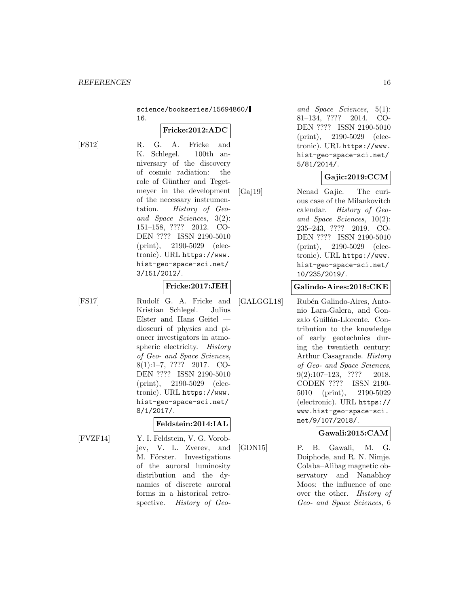science/bookseries/15694860/ 16.

### **Fricke:2012:ADC**

[FS12] R. G. A. Fricke and K. Schlegel. 100th anniversary of the discovery of cosmic radiation: the role of Günther and Tegetmeyer in the development of the necessary instrumentation. History of Geoand Space Sciences, 3(2): 151–158, ???? 2012. CO-DEN ???? ISSN 2190-5010 (print), 2190-5029 (electronic). URL https://www. hist-geo-space-sci.net/ 3/151/2012/.

**Fricke:2017:JEH**

[FS17] Rudolf G. A. Fricke and Kristian Schlegel. Julius Elster and Hans Geitel dioscuri of physics and pioneer investigators in atmospheric electricity. History of Geo- and Space Sciences, 8(1):1–7, ???? 2017. CO-DEN ???? ISSN 2190-5010 (print), 2190-5029 (electronic). URL https://www. hist-geo-space-sci.net/ 8/1/2017/.

### **Feldstein:2014:IAL**

[FVZF14] Y. I. Feldstein, V. G. Vorobjev, V. L. Zverev, and M. Förster. Investigations of the auroral luminosity distribution and the dynamics of discrete auroral forms in a historical retrospective. History of Geo-

and Space Sciences, 5(1): 81–134, ???? 2014. CO-DEN ???? ISSN 2190-5010 (print), 2190-5029 (electronic). URL https://www. hist-geo-space-sci.net/ 5/81/2014/.

### **Gajic:2019:CCM**

[Gaj19] Nenad Gajic. The curious case of the Milankovitch calendar. History of Geoand Space Sciences, 10(2): 235–243, ???? 2019. CO-DEN ???? ISSN 2190-5010 (print), 2190-5029 (electronic). URL https://www. hist-geo-space-sci.net/ 10/235/2019/.

#### **Galindo-Aires:2018:CKE**

[GALGGL18] Rubén Galindo-Aires, Antonio Lara-Galera, and Gonzalo Guillán-Llorente. Contribution to the knowledge of early geotechnics during the twentieth century: Arthur Casagrande. History of Geo- and Space Sciences, 9(2):107–123, ???? 2018. CODEN ???? ISSN 2190- 5010 (print), 2190-5029 (electronic). URL https:// www.hist-geo-space-sci. net/9/107/2018/.

### **Gawali:2015:CAM**

[GDN15] P. B. Gawali, M. G. Doiphode, and R. N. Nimje. Colaba–Alibag magnetic observatory and Nanabhoy Moos: the influence of one over the other. History of Geo- and Space Sciences, 6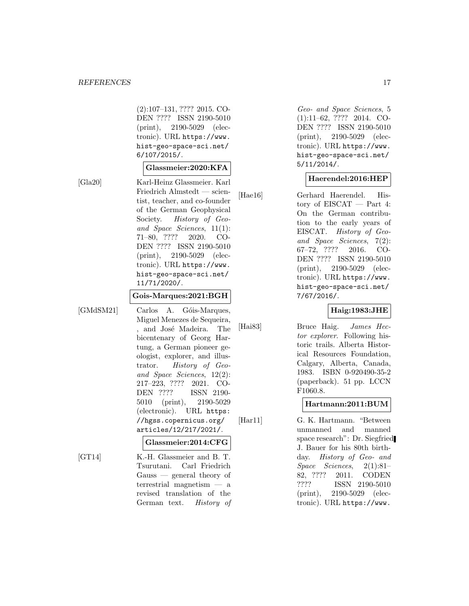(2):107–131, ???? 2015. CO-DEN ???? ISSN 2190-5010 (print), 2190-5029 (electronic). URL https://www. hist-geo-space-sci.net/ 6/107/2015/.

### **Glassmeier:2020:KFA**

[Gla20] Karl-Heinz Glassmeier. Karl Friedrich Almstedt — scientist, teacher, and co-founder of the German Geophysical Society. History of Geoand Space Sciences, 11(1): 71–80, ???? 2020. CO-DEN ???? ISSN 2190-5010 (print), 2190-5029 (electronic). URL https://www. hist-geo-space-sci.net/ 11/71/2020/.

#### **Gois-Marques:2021:BGH**

[GMdSM21] Carlos A. Góis-Marques, Miguel Menezes de Sequeira, , and José Madeira. The bicentenary of Georg Hartung, a German pioneer geologist, explorer, and illustrator. History of Geoand Space Sciences, 12(2): 217–223, ???? 2021. CO-DEN ???? ISSN 2190- 5010 (print), 2190-5029 (electronic). URL https: //hgss.copernicus.org/ articles/12/217/2021/.

#### **Glassmeier:2014:CFG**

[GT14] K.-H. Glassmeier and B. T. Tsurutani. Carl Friedrich Gauss — general theory of terrestrial magnetism — a revised translation of the German text. History of Geo- and Space Sciences, 5 (1):11–62, ???? 2014. CO-DEN ???? ISSN 2190-5010 (print), 2190-5029 (electronic). URL https://www. hist-geo-space-sci.net/ 5/11/2014/.

### **Haerendel:2016:HEP**

[Hae16] Gerhard Haerendel. History of EISCAT — Part 4: On the German contribution to the early years of EISCAT. History of Geoand Space Sciences, 7(2): 67–72, ???? 2016. CO-DEN ???? ISSN 2190-5010 (print), 2190-5029 (electronic). URL https://www. hist-geo-space-sci.net/ 7/67/2016/.

#### **Haig:1983:JHE**

[Hai83] Bruce Haig. James Hector explorer. Following historic trails. Alberta Historical Resources Foundation, Calgary, Alberta, Canada, 1983. ISBN 0-920490-35-2 (paperback). 51 pp. LCCN F1060.8.

#### **Hartmann:2011:BUM**

[Har11] G. K. Hartmann. "Between unmanned and manned space research": Dr. Siegfried J. Bauer for his 80th birthday. History of Geo- and Space Sciences, 2(1):81– 82, ???? 2011. CODEN<br>???? ISSN 2190-5010 ISSN 2190-5010 (print), 2190-5029 (electronic). URL https://www.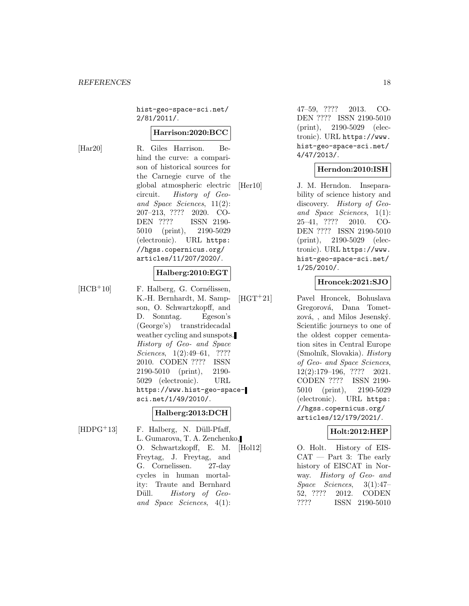hist-geo-space-sci.net/ 2/81/2011/.

#### **Harrison:2020:BCC**

[Har20] R. Giles Harrison. Behind the curve: a comparison of historical sources for the Carnegie curve of the global atmospheric electric circuit. History of Geoand Space Sciences, 11(2): 207–213, ???? 2020. CO-DEN ???? ISSN 2190- 5010 (print), 2190-5029 (electronic). URL https: //hgss.copernicus.org/ articles/11/207/2020/.

#### **Halberg:2010:EGT**

 $[HCB<sup>+</sup>10]$  F. Halberg, G. Cornélissen, K.-H. Bernhardt, M. Sampson, O. Schwartzkopff, and D. Sonntag. Egeson's (George's) transtridecadal weather cycling and sunspots. History of Geo- and Space Sciences, 1(2):49–61, ???? 2010. CODEN ???? ISSN 2190-5010 (print), 2190- 5029 (electronic). URL https://www.hist-geo-spacesci.net/1/49/2010/.

### **Halberg:2013:DCH**

 $[HDPG<sup>+</sup>13]$  F. Halberg, N. Düll-Pfaff, L. Gumarova, T. A. Zenchenko, O. Schwartzkopff, E. M. Freytag, J. Freytag, and G. Cornelissen. 27-day cycles in human mortality: Traute and Bernhard Düll. History of Geoand Space Sciences, 4(1):

47–59, ???? 2013. CO-DEN ???? ISSN 2190-5010 (print), 2190-5029 (electronic). URL https://www. hist-geo-space-sci.net/ 4/47/2013/.

### **Herndon:2010:ISH**

[Her10] J. M. Herndon. Inseparability of science history and discovery. History of Geoand Space Sciences, 1(1): 25–41, ???? 2010. CO-DEN ???? ISSN 2190-5010 (print), 2190-5029 (electronic). URL https://www. hist-geo-space-sci.net/ 1/25/2010/.

### **Hroncek:2021:SJO**

[HGT<sup>+</sup>21] Pavel Hroncek, Bohuslava Gregorová, Dana Tometzová, , and Milos Jesenský. Scientific journeys to one of the oldest copper cementation sites in Central Europe  $(Smolník, Slovakia).$  History of Geo- and Space Sciences, 12(2):179–196, ???? 2021. CODEN ???? ISSN 2190- 5010 (print), 2190-5029 (electronic). URL https: //hgss.copernicus.org/ articles/12/179/2021/.

### **Holt:2012:HEP**

[Hol12] O. Holt. History of EIS- $CAT - Part 3: The early$ history of EISCAT in Norway. History of Geo- and Space Sciences, 3(1):47– 52, ???? 2012. CODEN ???? ISSN 2190-5010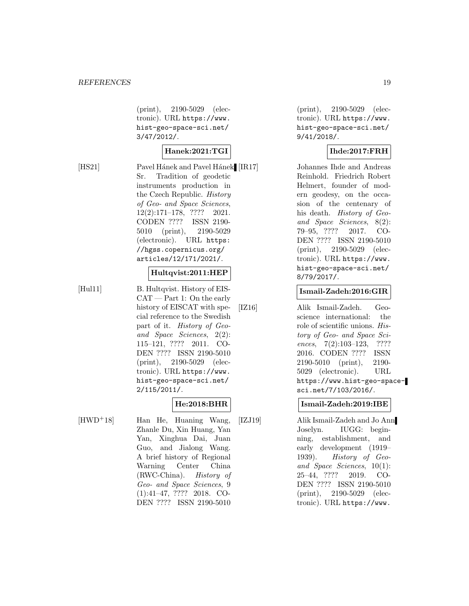(print), 2190-5029 (electronic). URL https://www. hist-geo-space-sci.net/ 3/47/2012/.

### **Hanek:2021:TGI**

[HS21] Pavel Hánek and Pavel Hánek [IR17] Sr. Tradition of geodetic instruments production in the Czech Republic. History of Geo- and Space Sciences, 12(2):171–178, ???? 2021. CODEN ???? ISSN 2190- 5010 (print), 2190-5029 (electronic). URL https: //hgss.copernicus.org/ articles/12/171/2021/.

### **Hultqvist:2011:HEP**

[Hul11] B. Hultqvist. History of EIS-CAT — Part 1: On the early history of EISCAT with special reference to the Swedish part of it. History of Geoand Space Sciences, 2(2): 115–121, ???? 2011. CO-DEN ???? ISSN 2190-5010 (print), 2190-5029 (electronic). URL https://www. hist-geo-space-sci.net/ 2/115/2011/.

# **He:2018:BHR**

[HWD<sup>+</sup>18] Han He, Huaning Wang, Zhanle Du, Xin Huang, Yan Yan, Xinghua Dai, Juan Guo, and Jialong Wang. A brief history of Regional Warning Center China (RWC-China). History of Geo- and Space Sciences, 9 (1):41–47, ???? 2018. CO-DEN ???? ISSN 2190-5010

(print), 2190-5029 (electronic). URL https://www. hist-geo-space-sci.net/ 9/41/2018/.

## **Ihde:2017:FRH**

Johannes Ihde and Andreas Reinhold. Friedrich Robert Helmert, founder of modern geodesy, on the occasion of the centenary of his death. History of Geoand Space Sciences, 8(2): 79–95, ???? 2017. CO-DEN ???? ISSN 2190-5010 (print), 2190-5029 (electronic). URL https://www. hist-geo-space-sci.net/ 8/79/2017/.

### **Ismail-Zadeh:2016:GIR**

[IZ16] Alik Ismail-Zadeh. Geoscience international: the role of scientific unions. History of Geo- and Space Sciences, 7(2):103-123, ???? 2016. CODEN ???? ISSN 2190-5010 (print), 2190- 5029 (electronic). URL https://www.hist-geo-spacesci.net/7/103/2016/.

#### **Ismail-Zadeh:2019:IBE**

[IZJ19] Alik Ismail-Zadeh and Jo Ann Joselyn. IUGG: beginning, establishment, and early development (1919– 1939). History of Geoand Space Sciences, 10(1): 25–44, ???? 2019. CO-DEN ???? ISSN 2190-5010 (print), 2190-5029 (electronic). URL https://www.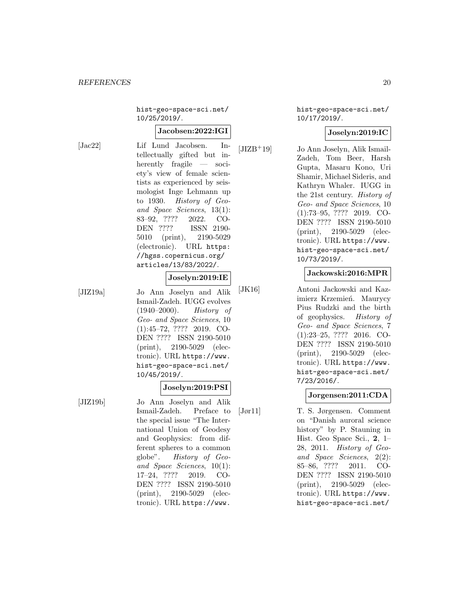hist-geo-space-sci.net/ 10/25/2019/.

#### **Jacobsen:2022:IGI**

[Jac22] Lif Lund Jacobsen. Intellectually gifted but inherently fragile — society's view of female scientists as experienced by seismologist Inge Lehmann up to 1930. History of Geoand Space Sciences, 13(1): 83–92, ???? 2022. CO-DEN ???? ISSN 2190- 5010 (print), 2190-5029 (electronic). URL https: //hgss.copernicus.org/ articles/13/83/2022/.

### **Joselyn:2019:IE**

[JIZ19a] Jo Ann Joselyn and Alik Ismail-Zadeh. IUGG evolves (1940–2000). History of Geo- and Space Sciences, 10 (1):45–72, ???? 2019. CO-DEN ???? ISSN 2190-5010 (print), 2190-5029 (electronic). URL https://www. hist-geo-space-sci.net/ 10/45/2019/.

### **Joselyn:2019:PSI**

[JIZ19b] Jo Ann Joselyn and Alik Ismail-Zadeh. Preface to the special issue "The International Union of Geodesy and Geophysics: from different spheres to a common globe". History of Geoand Space Sciences, 10(1): 17–24, ???? 2019. CO-DEN ???? ISSN 2190-5010 (print), 2190-5029 (electronic). URL https://www.

hist-geo-space-sci.net/ 10/17/2019/.

### **Joselyn:2019:IC**

[JIZB<sup>+</sup>19] Jo Ann Joselyn, Alik Ismail-Zadeh, Tom Beer, Harsh Gupta, Masaru Kono, Uri Shamir, Michael Sideris, and Kathryn Whaler. IUGG in the 21st century. History of Geo- and Space Sciences, 10 (1):73–95, ???? 2019. CO-DEN ???? ISSN 2190-5010 (print), 2190-5029 (electronic). URL https://www. hist-geo-space-sci.net/ 10/73/2019/.

### **Jackowski:2016:MPR**

[JK16] Antoni Jackowski and Kazimierz Krzemień. Maurycy Pius Rudzki and the birth of geophysics. History of Geo- and Space Sciences, 7 (1):23–25, ???? 2016. CO-DEN ???? ISSN 2190-5010 (print), 2190-5029 (electronic). URL https://www. hist-geo-space-sci.net/ 7/23/2016/.

### **Jorgensen:2011:CDA**

[Jør11] T. S. Jørgensen. Comment on "Danish auroral science history" by P. Stauning in Hist. Geo Space Sci., **2**, 1– 28, 2011. History of Geoand Space Sciences, 2(2): 85–86, ???? 2011. CO-DEN ???? ISSN 2190-5010 (print), 2190-5029 (electronic). URL https://www. hist-geo-space-sci.net/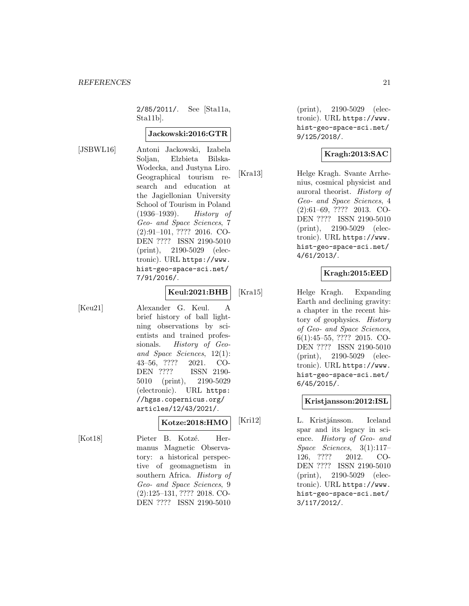2/85/2011/. See [Sta11a, Sta11b].

#### **Jackowski:2016:GTR**

[JSBWL16] Antoni Jackowski, Izabela Soljan, Elzbieta Bilska-Wodecka, and Justyna Liro. Geographical tourism research and education at the Jagiellonian University School of Tourism in Poland (1936–1939). History of Geo- and Space Sciences, 7 (2):91–101, ???? 2016. CO-DEN ???? ISSN 2190-5010 (print), 2190-5029 (electronic). URL https://www. hist-geo-space-sci.net/ 7/91/2016/.

### **Keul:2021:BHB**

[Keu21] Alexander G. Keul. A brief history of ball lightning observations by scientists and trained professionals. History of Geoand Space Sciences, 12(1): 43–56, ???? 2021. CO-DEN ???? ISSN 2190- 5010 (print), 2190-5029 (electronic). URL https: //hgss.copernicus.org/ articles/12/43/2021/.

### **Kotze:2018:HMO**

[Kot18] Pieter B. Kotzé. Hermanus Magnetic Observatory: a historical perspective of geomagnetism in southern Africa. History of Geo- and Space Sciences, 9 (2):125–131, ???? 2018. CO-DEN ???? ISSN 2190-5010

(print), 2190-5029 (electronic). URL https://www. hist-geo-space-sci.net/ 9/125/2018/.

### **Kragh:2013:SAC**

[Kra13] Helge Kragh. Svante Arrhenius, cosmical physicist and auroral theorist. History of Geo- and Space Sciences, 4 (2):61–69, ???? 2013. CO-DEN ???? ISSN 2190-5010 (print), 2190-5029 (electronic). URL https://www. hist-geo-space-sci.net/ 4/61/2013/.

### **Kragh:2015:EED**

[Kra15] Helge Kragh. Expanding Earth and declining gravity: a chapter in the recent history of geophysics. History of Geo- and Space Sciences, 6(1):45–55, ???? 2015. CO-DEN ???? ISSN 2190-5010 (print), 2190-5029 (electronic). URL https://www. hist-geo-space-sci.net/ 6/45/2015/.

#### **Kristjansson:2012:ISL**

[Kri12] L. Kristjánsson. Iceland spar and its legacy in science. History of Geo- and Space Sciences, 3(1):117– 126, ???? 2012. CO-DEN ???? ISSN 2190-5010 (print), 2190-5029 (electronic). URL https://www. hist-geo-space-sci.net/ 3/117/2012/.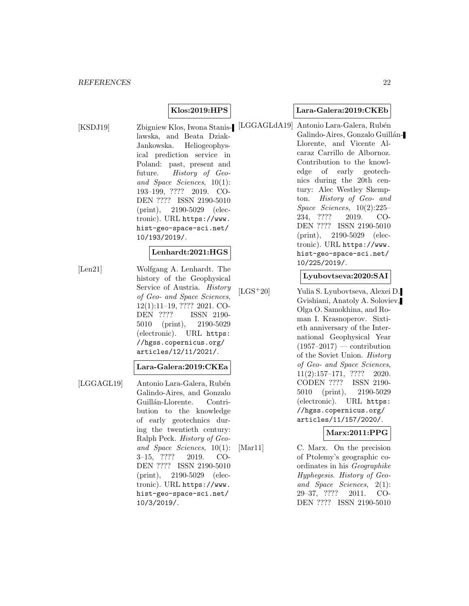### **Klos:2019:HPS**

lawska, and Beata Dziak-Jankowska. Heliogeophysical prediction service in Poland: past, present and future. History of Geoand Space Sciences, 10(1): 193–199, ???? 2019. CO-DEN ???? ISSN 2190-5010 (print), 2190-5029 (electronic). URL https://www. hist-geo-space-sci.net/ 10/193/2019/.

### **Lenhardt:2021:HGS**

[Len21] Wolfgang A. Lenhardt. The history of the Geophysical Service of Austria. History of Geo- and Space Sciences, 12(1):11–19, ???? 2021. CO-DEN ???? ISSN 2190- 5010 (print), 2190-5029 (electronic). URL https: //hgss.copernicus.org/ articles/12/11/2021/.

#### **Lara-Galera:2019:CKEa**

[LGGAGL19] Antonio Lara-Galera, Rubén Galindo-Aires, and Gonzalo Guillán-Llorente. Contribution to the knowledge of early geotechnics during the twentieth century: Ralph Peck. History of Geoand Space Sciences, 10(1): 3–15, ???? 2019. CO-DEN ???? ISSN 2190-5010 (print), 2190-5029 (electronic). URL https://www. hist-geo-space-sci.net/ 10/3/2019/.

#### **Lara-Galera:2019:CKEb**

[KSDJ19] Zbigniew Klos, Iwona Stanis- [LGGAGLdA19] Antonio Lara-Galera, Rubén Galindo-Aires, Gonzalo Guillán-Llorente, and Vicente Alcaraz Carrillo de Albornoz. Contribution to the knowledge of early geotechnics during the 20th century: Alec Westley Skempton. History of Geo- and Space Sciences, 10(2):225– 234, ???? 2019. CO-DEN ???? ISSN 2190-5010 (print), 2190-5029 (electronic). URL https://www. hist-geo-space-sci.net/ 10/225/2019/.

#### **Lyubovtseva:2020:SAI**

[LGS<sup>+</sup>20] Yulia S. Lyubovtseva, Alexei D. Gvishiani, Anatoly A. Soloviev, Olga O. Samokhina, and Roman I. Krasnoperov. Sixtieth anniversary of the International Geophysical Year  $(1957-2017)$  — contribution of the Soviet Union. History of Geo- and Space Sciences, 11(2):157–171, ???? 2020. CODEN ???? ISSN 2190- 5010 (print), 2190-5029 (electronic). URL https: //hgss.copernicus.org/ articles/11/157/2020/.

### **Marx:2011:PPG**

[Mar11] C. Marx. On the precision of Ptolemy's geographic coordinates in his Geographike Hyphegesis. History of Geoand Space Sciences, 2(1): 29–37, ???? 2011. CO-DEN ???? ISSN 2190-5010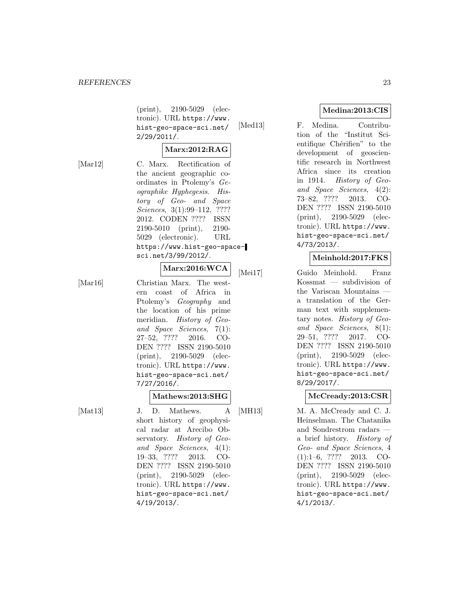(print), 2190-5029 (electronic). URL https://www. hist-geo-space-sci.net/ 2/29/2011/.

### **Marx:2012:RAG**

[Mar12] C. Marx. Rectification of the ancient geographic coordinates in Ptolemy's Geographike Hyphegesis. History of Geo- and Space Sciences, 3(1):99–112, ???? 2012. CODEN ???? ISSN 2190-5010 (print), 2190- 5029 (electronic). URL https://www.hist-geo-spacesci.net/3/99/2012/.

# **Marx:2016:WCA**

[Mar16] Christian Marx. The western coast of Africa in Ptolemy's Geography and the location of his prime meridian. History of Geoand Space Sciences, 7(1): 27–52, ???? 2016. CO-DEN ???? ISSN 2190-5010 (print), 2190-5029 (electronic). URL https://www. hist-geo-space-sci.net/ 7/27/2016/.

#### **Mathews:2013:SHG**

[Mat13] J. D. Mathews. A short history of geophysical radar at Arecibo Observatory. History of Geoand Space Sciences, 4(1): 19–33, ???? 2013. CO-DEN ???? ISSN 2190-5010 (print), 2190-5029 (electronic). URL https://www. hist-geo-space-sci.net/ 4/19/2013/.

### **Medina:2013:CIS**

[Med13] F. Medina. Contribution of the "Institut Scientifique Chérifien" to the development of geoscientific research in Northwest Africa since its creation in 1914. History of Geoand Space Sciences, 4(2): 73–82, ???? 2013. CO-DEN ???? ISSN 2190-5010 (print), 2190-5029 (electronic). URL https://www. hist-geo-space-sci.net/ 4/73/2013/.

### **Meinhold:2017:FKS**

[Mei17] Guido Meinhold. Franz Kossmat — subdivision of the Variscan Mountains a translation of the German text with supplementary notes. History of Geoand Space Sciences, 8(1): 29–51, ???? 2017. CO-DEN ???? ISSN 2190-5010 (print), 2190-5029 (electronic). URL https://www. hist-geo-space-sci.net/ 8/29/2017/.

### **McCready:2013:CSR**

[MH13] M. A. McCready and C. J. Heinselman. The Chatanika and Sondrestrom radars a brief history. History of Geo- and Space Sciences, 4 (1):1–6, ???? 2013. CO-DEN ???? ISSN 2190-5010 (print), 2190-5029 (electronic). URL https://www. hist-geo-space-sci.net/ 4/1/2013/.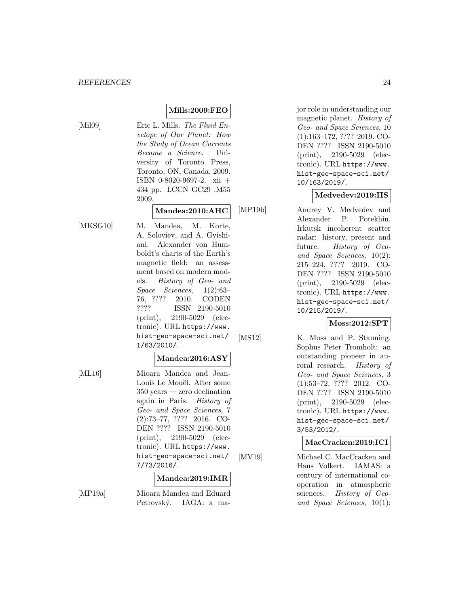### **Mills:2009:FEO**

[Mil09] Eric L. Mills. The Fluid Envelope of Our Planet: How the Study of Ocean Currents Became a Science. University of Toronto Press, Toronto, ON, Canada, 2009. ISBN 0-8020-9697-2. xii + 434 pp. LCCN GC29 .M55 2009.

### **Mandea:2010:AHC**

[MKSG10] M. Mandea, M. Korte, A. Soloviev, and A. Gvishiani. Alexander von Humboldt's charts of the Earth's magnetic field: an assessment based on modern models. History of Geo- and Space Sciences, 1(2):63– 76, ???? 2010. CODEN ???? ISSN 2190-5010 (print), 2190-5029 (electronic). URL https://www. hist-geo-space-sci.net/ 1/63/2010/.

#### **Mandea:2016:ASY**

[ML16] Mioara Mandea and Jean-Louis Le Mouël. After some 350 years — zero declination again in Paris. History of Geo- and Space Sciences, 7 (2):73–77, ???? 2016. CO-DEN ???? ISSN 2190-5010 (print), 2190-5029 (electronic). URL https://www. hist-geo-space-sci.net/ 7/73/2016/.

#### **Mandea:2019:IMR**

[MP19a] Mioara Mandea and Eduard Petrovský. IAGA: a major role in understanding our magnetic planet. History of Geo- and Space Sciences, 10 (1):163–172, ???? 2019. CO-DEN ???? ISSN 2190-5010 (print), 2190-5029 (electronic). URL https://www. hist-geo-space-sci.net/ 10/163/2019/.

#### **Medvedev:2019:IIS**

[MP19b] Andrey V. Medvedev and Alexander P. Potekhin. Irkutsk incoherent scatter radar: history, present and future. *History of Geo*and Space Sciences, 10(2): 215–224, ???? 2019. CO-DEN ???? ISSN 2190-5010 (print), 2190-5029 (electronic). URL https://www. hist-geo-space-sci.net/ 10/215/2019/.

### **Moss:2012:SPT**

[MS12] K. Moss and P. Stauning. Sophus Peter Tromholt: an outstanding pioneer in auroral research. History of Geo- and Space Sciences, 3 (1):53–72, ???? 2012. CO-DEN ???? ISSN 2190-5010 (print), 2190-5029 (electronic). URL https://www. hist-geo-space-sci.net/ 3/53/2012/.

### **MacCracken:2019:ICI**

[MV19] Michael C. MacCracken and Hans Volkert. IAMAS: a century of international cooperation in atmospheric sciences. History of Geoand Space Sciences, 10(1):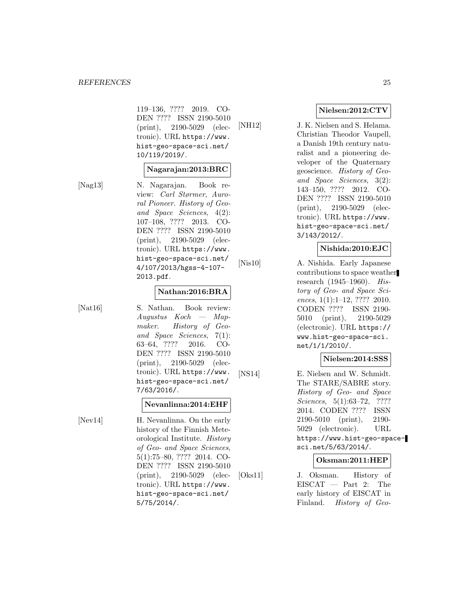#### *REFERENCES* 25

119–136, ???? 2019. CO-DEN ???? ISSN 2190-5010 (print), 2190-5029 (electronic). URL https://www. hist-geo-space-sci.net/ 10/119/2019/.

#### **Nagarajan:2013:BRC**

[Nag13] N. Nagarajan. Book review: Carl Størmer, Auroral Pioneer. History of Geoand Space Sciences, 4(2): 107–108, ???? 2013. CO-DEN ???? ISSN 2190-5010 (print), 2190-5029 (electronic). URL https://www. hist-geo-space-sci.net/ 4/107/2013/hgss-4-107- 2013.pdf.

#### **Nathan:2016:BRA**

[Nat16] S. Nathan. Book review: Augustus Koch — Mapmaker. History of Geoand Space Sciences, 7(1): 63–64, ???? 2016. CO-DEN ???? ISSN 2190-5010 (print), 2190-5029 (electronic). URL https://www. hist-geo-space-sci.net/ 7/63/2016/.

### **Nevanlinna:2014:EHF**

[Nev14] H. Nevanlinna. On the early history of the Finnish Meteorological Institute. History of Geo- and Space Sciences, 5(1):75–80, ???? 2014. CO-DEN ???? ISSN 2190-5010 (print), 2190-5029 (electronic). URL https://www. hist-geo-space-sci.net/ 5/75/2014/.

### **Nielsen:2012:CTV**

[NH12] J. K. Nielsen and S. Helama. Christian Theodor Vaupell, a Danish 19th century naturalist and a pioneering developer of the Quaternary geoscience. History of Geoand Space Sciences, 3(2): 143–150, ???? 2012. CO-DEN ???? ISSN 2190-5010 (print), 2190-5029 (electronic). URL https://www. hist-geo-space-sci.net/ 3/143/2012/.

### **Nishida:2010:EJC**

[Nis10] A. Nishida. Early Japanese contributions to space weather research (1945–1960). History of Geo- and Space Sciences, 1(1):1-12, ???? 2010. CODEN ???? ISSN 2190- 5010 (print), 2190-5029 (electronic). URL https:// www.hist-geo-space-sci. net/1/1/2010/.

#### **Nielsen:2014:SSS**

[NS14] E. Nielsen and W. Schmidt. The STARE/SABRE story. History of Geo- and Space Sciences, 5(1):63–72, ???? 2014. CODEN ???? ISSN 2190-5010 (print), 2190- 5029 (electronic). URL https://www.hist-geo-spacesci.net/5/63/2014/.

#### **Oksman:2011:HEP**

[Oks11] J. Oksman. History of EISCAT — Part 2: The early history of EISCAT in Finland. History of Geo-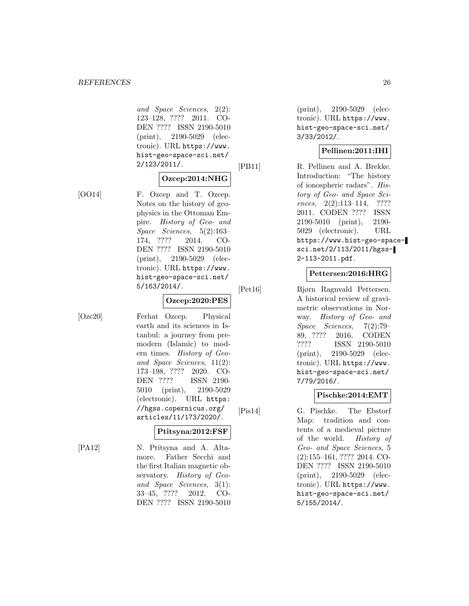and Space Sciences, 2(2): 123–128, ???? 2011. CO-DEN ???? ISSN 2190-5010 (print), 2190-5029 (electronic). URL https://www. hist-geo-space-sci.net/ 2/123/2011/.

### **Ozcep:2014:NHG**

[OO14] F. Ozcep and T. Ozcep. Notes on the history of geophysics in the Ottoman Empire. History of Geo- and Space Sciences, 5(2):163– 174, ???? 2014. CO-DEN ???? ISSN 2190-5010 (print), 2190-5029 (electronic). URL https://www. hist-geo-space-sci.net/ 5/163/2014/.

### **Ozcep:2020:PES**

[Ozc20] Ferhat Ozcep. Physical earth and its sciences in Istanbul: a journey from premodern (Islamic) to modern times. History of Geoand Space Sciences, 11(2): 173–198, ???? 2020. CO-DEN ???? ISSN 2190- 5010 (print), 2190-5029 (electronic). URL https: //hgss.copernicus.org/ articles/11/173/2020/.

#### **Ptitsyna:2012:FSF**

[PA12] N. Ptitsyna and A. Altamore. Father Secchi and the first Italian magnetic observatory. History of Geoand Space Sciences, 3(1): 33–45, ???? 2012. CO-DEN ???? ISSN 2190-5010

(print), 2190-5029 (electronic). URL https://www. hist-geo-space-sci.net/ 3/33/2012/.

### **Pellinen:2011:IHI**

[PB11] R. Pellinen and A. Brekke. Introduction: "The history of ionospheric radars". History of Geo- and Space Sciences, 2(2):113-114, ???? 2011. CODEN ???? ISSN 2190-5010 (print), 2190- 5029 (electronic). URL https://www.hist-geo-spacesci.net/2/113/2011/hgss-2-113-2011.pdf.

### **Pettersen:2016:HRG**

[Pet16] Bjørn Ragnvald Pettersen. A historical review of gravimetric observations in Norway. History of Geo- and Space Sciences, 7(2):79– 89, ???? 2016. CODEN ???? ISSN 2190-5010 (print), 2190-5029 (electronic). URL https://www. hist-geo-space-sci.net/ 7/79/2016/.

### **Pischke:2014:EMT**

[Pis14] G. Pischke. The Ebstorf Map: tradition and contents of a medieval picture of the world. History of Geo- and Space Sciences, 5 (2):155–161, ???? 2014. CO-DEN ???? ISSN 2190-5010 (print), 2190-5029 (electronic). URL https://www. hist-geo-space-sci.net/ 5/155/2014/.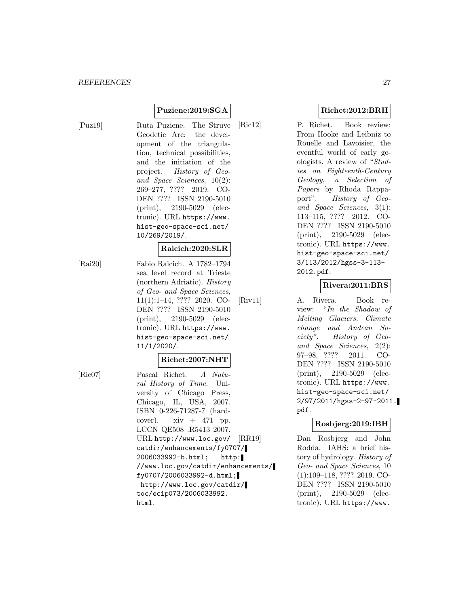### **Puziene:2019:SGA**

[Puz19] Ruta Puziene. The Struve Geodetic Arc: the development of the triangulation, technical possibilities, and the initiation of the project. History of Geoand Space Sciences, 10(2): 269–277, ???? 2019. CO-DEN ???? ISSN 2190-5010 (print), 2190-5029 (electronic). URL https://www. hist-geo-space-sci.net/ 10/269/2019/.

#### **Raicich:2020:SLR**

[Rai20] Fabio Raicich. A 1782–1794 sea level record at Trieste (northern Adriatic). History of Geo- and Space Sciences, 11(1):1–14, ???? 2020. CO-DEN ???? ISSN 2190-5010 (print), 2190-5029 (electronic). URL https://www. hist-geo-space-sci.net/ 11/1/2020/.

#### **Richet:2007:NHT**

[Ric07] Pascal Richet. A Natural History of Time. University of Chicago Press, Chicago, IL, USA, 2007. ISBN 0-226-71287-7 (hardcover).  $xiv + 471$  pp. LCCN QE508 .R5413 2007. URL http://www.loc.gov/ catdir/enhancements/fy0707/ 2006033992-b.html; http: //www.loc.gov/catdir/enhancements/ fy0707/2006033992-d.html; http://www.loc.gov/catdir/ toc/ecip073/2006033992. html.

### **Richet:2012:BRH**

[Ric12] P. Richet. Book review: From Hooke and Leibniz to Rouelle and Lavoisier, the eventful world of early geologists. A review of "Studies on Eighteenth-Century Geology, a Selection of Papers by Rhoda Rappaport". History of Geoand Space Sciences, 3(1): 113–115, ???? 2012. CO-DEN ???? ISSN 2190-5010 (print), 2190-5029 (electronic). URL https://www. hist-geo-space-sci.net/ 3/113/2012/hgss-3-113- 2012.pdf.

#### **Rivera:2011:BRS**

[Riv11] A. Rivera. Book review: "In the Shadow of Melting Glaciers. Climate change and Andean Society". History of Geoand Space Sciences, 2(2): 97–98, ???? 2011. CO-DEN ???? ISSN 2190-5010 (print), 2190-5029 (electronic). URL https://www. hist-geo-space-sci.net/ 2/97/2011/hgss-2-97-2011. pdf.

#### **Rosbjerg:2019:IBH**

[RR19] Dan Rosbjerg and John Rodda. IAHS: a brief history of hydrology. History of Geo- and Space Sciences, 10 (1):109–118, ???? 2019. CO-DEN ???? ISSN 2190-5010 (print), 2190-5029 (electronic). URL https://www.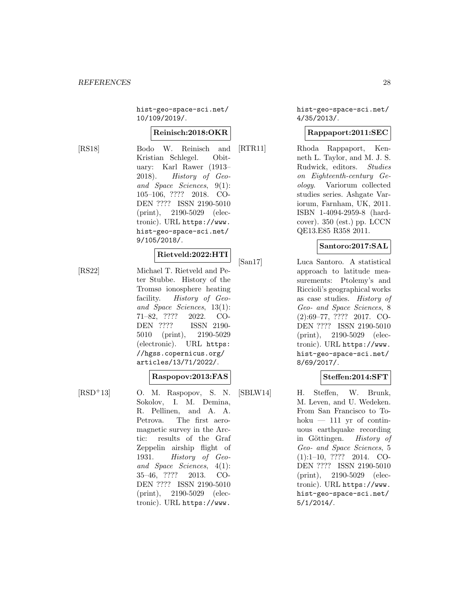hist-geo-space-sci.net/ 10/109/2019/.

#### **Reinisch:2018:OKR**

[RS18] Bodo W. Reinisch and Kristian Schlegel. Obituary: Karl Rawer (1913– 2018). History of Geoand Space Sciences, 9(1): 105–106, ???? 2018. CO-DEN ???? ISSN 2190-5010 (print), 2190-5029 (electronic). URL https://www. hist-geo-space-sci.net/ 9/105/2018/.

#### **Rietveld:2022:HTI**

[RS22] Michael T. Rietveld and Peter Stubbe. History of the Tromsø ionosphere heating facility. History of Geoand Space Sciences, 13(1): 71–82, ???? 2022. CO-DEN ???? ISSN 2190- 5010 (print), 2190-5029 (electronic). URL https: //hgss.copernicus.org/ articles/13/71/2022/.

|  | $\operatorname{Raspo pov:} 2013{:} {\rm FAS}$ |
|--|-----------------------------------------------|
|--|-----------------------------------------------|

 $[RSD+13]$  O. M. Raspopov, S. N. Sokolov, I. M. Demina, R. Pellinen, and A. A. Petrova. The first aeromagnetic survey in the Arctic: results of the Graf Zeppelin airship flight of 1931. History of Geoand Space Sciences, 4(1): 35–46, ???? 2013. CO-DEN ???? ISSN 2190-5010 (print), 2190-5029 (electronic). URL https://www.

hist-geo-space-sci.net/ 4/35/2013/.

### **Rappaport:2011:SEC**

[RTR11] Rhoda Rappaport, Kenneth L. Taylor, and M. J. S. Rudwick, editors. Studies on Eighteenth-century Geology. Variorum collected studies series. Ashgate Variorum, Farnham, UK, 2011. ISBN 1-4094-2959-8 (hardcover). 350 (est.) pp. LCCN QE13.E85 R358 2011.

#### **Santoro:2017:SAL**

[San17] Luca Santoro. A statistical approach to latitude measurements: Ptolemy's and Riccioli's geographical works as case studies. History of Geo- and Space Sciences, 8 (2):69–77, ???? 2017. CO-DEN ???? ISSN 2190-5010 (print), 2190-5029 (electronic). URL https://www. hist-geo-space-sci.net/ 8/69/2017/.

#### **Steffen:2014:SFT**

[SBLW14] H. Steffen, W. Brunk, M. Leven, and U. Wedeken. From San Francisco to Tohoku  $-111$  yr of continuous earthquake recording in Göttingen. History of Geo- and Space Sciences, 5 (1):1–10, ???? 2014. CO-DEN ???? ISSN 2190-5010 (print), 2190-5029 (electronic). URL https://www. hist-geo-space-sci.net/ 5/1/2014/.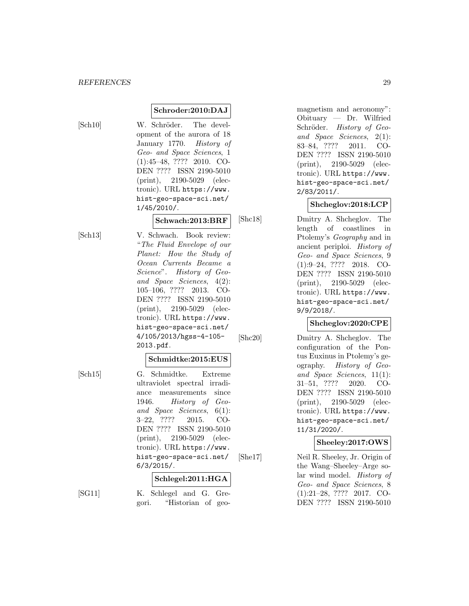**Schroder:2010:DAJ**

[Sch10] W. Schröder. The development of the aurora of 18 January 1770. History of Geo- and Space Sciences, 1 (1):45–48, ???? 2010. CO-DEN ???? ISSN 2190-5010 (print), 2190-5029 (electronic). URL https://www. hist-geo-space-sci.net/ 1/45/2010/.

#### **Schwach:2013:BRF**

[Sch13] V. Schwach. Book review: "The Fluid Envelope of our Planet: How the Study of Ocean Currents Became a Science". History of Geoand Space Sciences, 4(2): 105–106, ???? 2013. CO-DEN ???? ISSN 2190-5010 (print), 2190-5029 (electronic). URL https://www. hist-geo-space-sci.net/ 4/105/2013/hgss-4-105- 2013.pdf.

#### **Schmidtke:2015:EUS**

[Sch15] G. Schmidtke. Extreme ultraviolet spectral irradiance measurements since 1946. History of Geoand Space Sciences, 6(1): 3–22, ???? 2015. CO-DEN ???? ISSN 2190-5010 (print), 2190-5029 (electronic). URL https://www. hist-geo-space-sci.net/ 6/3/2015/.

#### **Schlegel:2011:HGA**

[SG11] K. Schlegel and G. Gregori. "Historian of geomagnetism and aeronomy": Obituary — Dr. Wilfried Schröder. History of Geoand Space Sciences, 2(1): 83–84, ???? 2011. CO-DEN ???? ISSN 2190-5010 (print), 2190-5029 (electronic). URL https://www. hist-geo-space-sci.net/ 2/83/2011/.

### **Shcheglov:2018:LCP**

[Shc18] Dmitry A. Shcheglov. The length of coastlines in Ptolemy's Geography and in ancient periploi. History of Geo- and Space Sciences, 9 (1):9–24, ???? 2018. CO-DEN ???? ISSN 2190-5010 (print), 2190-5029 (electronic). URL https://www. hist-geo-space-sci.net/ 9/9/2018/.

### **Shcheglov:2020:CPE**

[Shc20] Dmitry A. Shcheglov. The configuration of the Pontus Euxinus in Ptolemy's geography. History of Geoand Space Sciences, 11(1): 31–51, ???? 2020. CO-DEN ???? ISSN 2190-5010 (print), 2190-5029 (electronic). URL https://www. hist-geo-space-sci.net/ 11/31/2020/.

### **Sheeley:2017:OWS**

[She17] Neil R. Sheeley, Jr. Origin of the Wang–Sheeley–Arge solar wind model. History of Geo- and Space Sciences, 8 (1):21–28, ???? 2017. CO-DEN ???? ISSN 2190-5010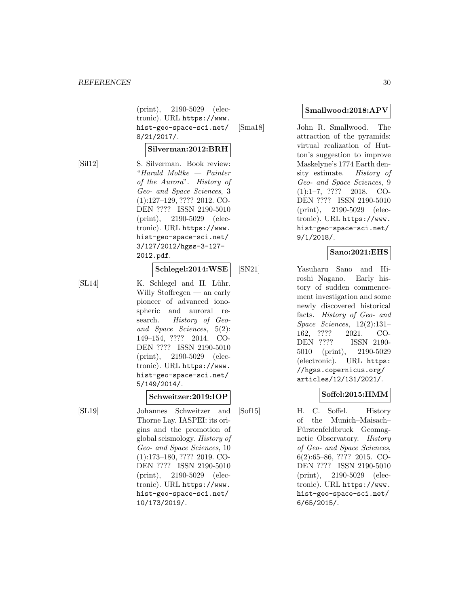(print), 2190-5029 (electronic). URL https://www. hist-geo-space-sci.net/ 8/21/2017/.

#### **Silverman:2012:BRH**

[Sil12] S. Silverman. Book review: "Harald Moltke — Painter of the Aurora". History of Geo- and Space Sciences, 3 (1):127–129, ???? 2012. CO-DEN ???? ISSN 2190-5010 (print), 2190-5029 (electronic). URL https://www. hist-geo-space-sci.net/ 3/127/2012/hgss-3-127- 2012.pdf.

#### **Schlegel:2014:WSE**

[SL14] K. Schlegel and H. Lühr. Willy Stoffregen — an early pioneer of advanced ionospheric and auroral research. History of Geoand Space Sciences, 5(2): 149–154, ???? 2014. CO-DEN ???? ISSN 2190-5010 (print), 2190-5029 (electronic). URL https://www. hist-geo-space-sci.net/ 5/149/2014/.

### **Schweitzer:2019:IOP**

[SL19] Johannes Schweitzer and Thorne Lay. IASPEI: its origins and the promotion of global seismology. History of Geo- and Space Sciences, 10 (1):173–180, ???? 2019. CO-DEN ???? ISSN 2190-5010 (print), 2190-5029 (electronic). URL https://www. hist-geo-space-sci.net/ 10/173/2019/.

#### **Smallwood:2018:APV**

[Sma18] John R. Smallwood. The attraction of the pyramids: virtual realization of Hutton's suggestion to improve Maskelyne's 1774 Earth density estimate. History of Geo- and Space Sciences, 9 (1):1–7, ???? 2018. CO-DEN ???? ISSN 2190-5010 (print), 2190-5029 (electronic). URL https://www. hist-geo-space-sci.net/ 9/1/2018/.

### **Sano:2021:EHS**

[SN21] Yasuharu Sano and Hiroshi Nagano. Early history of sudden commencement investigation and some newly discovered historical facts. History of Geo- and Space Sciences, 12(2):131– 162, ???? 2021. CO-DEN ???? ISSN 2190- 5010 (print), 2190-5029 (electronic). URL https: //hgss.copernicus.org/ articles/12/131/2021/.

### **Soffel:2015:HMM**

[Sof15] H. C. Soffel. History of the Munich–Maisach– Fürstenfeldbruck Geomagnetic Observatory. History of Geo- and Space Sciences, 6(2):65–86, ???? 2015. CO-DEN ???? ISSN 2190-5010 (print), 2190-5029 (electronic). URL https://www. hist-geo-space-sci.net/ 6/65/2015/.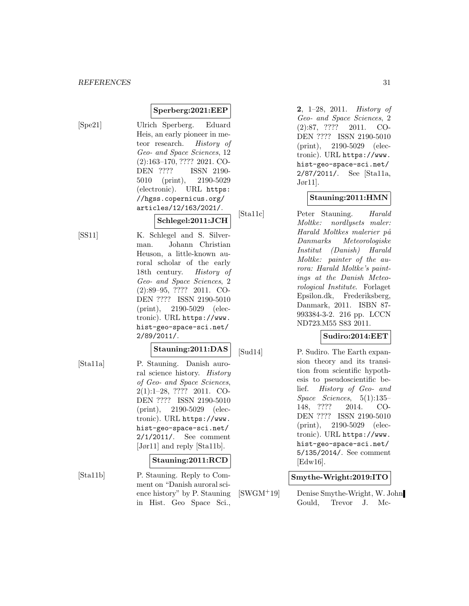### **Sperberg:2021:EEP**

[Spe21] Ulrich Sperberg. Eduard Heis, an early pioneer in meteor research. History of Geo- and Space Sciences, 12 (2):163–170, ???? 2021. CO-DEN ???? ISSN 2190- 5010 (print), 2190-5029 (electronic). URL https: //hgss.copernicus.org/ articles/12/163/2021/.

### **Schlegel:2011:JCH**

[SS11] K. Schlegel and S. Silverman. Johann Christian Heuson, a little-known auroral scholar of the early 18th century. History of Geo- and Space Sciences, 2 (2):89–95, ???? 2011. CO-DEN ???? ISSN 2190-5010 (print), 2190-5029 (electronic). URL https://www. hist-geo-space-sci.net/ 2/89/2011/.

### **Stauning:2011:DAS**

[Sta11a] P. Stauning. Danish auroral science history. History of Geo- and Space Sciences, 2(1):1–28, ???? 2011. CO-DEN ???? ISSN 2190-5010 (print), 2190-5029 (electronic). URL https://www. hist-geo-space-sci.net/ 2/1/2011/. See comment [Jør11] and reply [Sta11b].

#### **Stauning:2011:RCD**

[Sta11b] P. Stauning. Reply to Comment on "Danish auroral science history" by P. Stauning in Hist. Geo Space Sci.,

**2**, 1–28, 2011. History of Geo- and Space Sciences, 2 (2):87, ???? 2011. CO-DEN ???? ISSN 2190-5010 (print), 2190-5029 (electronic). URL https://www. hist-geo-space-sci.net/ 2/87/2011/. See [Sta11a, Jør11].

### **Stauning:2011:HMN**

[Sta11c] Peter Stauning. Harald Moltke: nordlysets maler: Harald Moltkes malerier på Danmarks Meteorologiske Institut (Danish) Harald Moltke: painter of the aurora: Harald Moltke's paintings at the Danish Meteorological Institute. Forlaget Epsilon.dk, Frederiksberg, Danmark, 2011. ISBN 87- 993384-3-2. 216 pp. LCCN ND723.M55 S83 2011.

### **Sudiro:2014:EET**

[Sud14] P. Sudiro. The Earth expansion theory and its transition from scientific hypothesis to pseudoscientific belief. History of Geo- and Space Sciences, 5(1):135– 148, ???? 2014. CO-DEN ???? ISSN 2190-5010 (print), 2190-5029 (electronic). URL https://www. hist-geo-space-sci.net/ 5/135/2014/. See comment [Edw16].

### **Smythe-Wright:2019:ITO**

[SWGM<sup>+</sup>19] Denise Smythe-Wright, W. John Gould, Trevor J. Mc-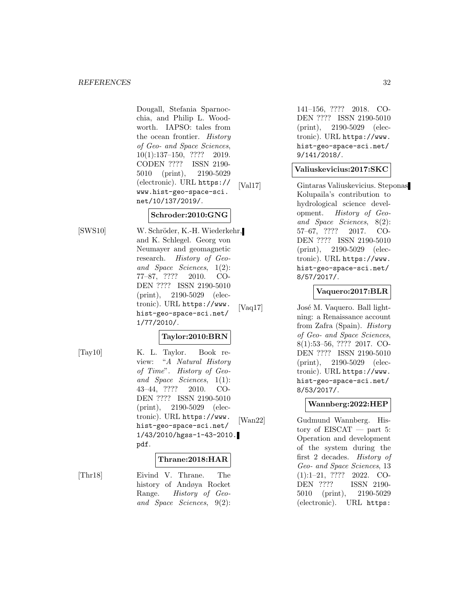Dougall, Stefania Sparnocchia, and Philip L. Woodworth. IAPSO: tales from the ocean frontier. History of Geo- and Space Sciences, 10(1):137–150, ???? 2019. CODEN ???? ISSN 2190- 5010 (print), 2190-5029 (electronic). URL https:// www.hist-geo-space-sci. net/10/137/2019/.

# **Schroder:2010:GNG**

[SWS10] W. Schröder, K.-H. Wiederkehr, and K. Schlegel. Georg von Neumayer and geomagnetic research. History of Geoand Space Sciences, 1(2): 77–87, ???? 2010. CO-DEN ???? ISSN 2190-5010 (print), 2190-5029 (electronic). URL https://www. hist-geo-space-sci.net/ 1/77/2010/.

### **Taylor:2010:BRN**

[Tay10] K. L. Taylor. Book review: "A Natural History of Time". History of Geoand Space Sciences, 1(1): 43–44, ???? 2010. CO-DEN ???? ISSN 2190-5010 (print), 2190-5029 (electronic). URL https://www. hist-geo-space-sci.net/ 1/43/2010/hgss-1-43-2010. pdf.

### **Thrane:2018:HAR**

[Thr18] Eivind V. Thrane. The history of Andøya Rocket Range. History of Geoand Space Sciences, 9(2): 141–156, ???? 2018. CO-DEN ???? ISSN 2190-5010 (print), 2190-5029 (electronic). URL https://www. hist-geo-space-sci.net/ 9/141/2018/.

### **Valiuskevicius:2017:SKC**

[Val17] Gintaras Valiuskevicius. Steponas Kolupaila's contribution to hydrological science development. History of Geoand Space Sciences, 8(2): 57–67, ???? 2017. CO-DEN ???? ISSN 2190-5010 (print), 2190-5029 (electronic). URL https://www. hist-geo-space-sci.net/ 8/57/2017/.

### **Vaquero:2017:BLR**

[Vaq17] José M. Vaquero. Ball lightning: a Renaissance account from Zafra (Spain). History of Geo- and Space Sciences, 8(1):53–56, ???? 2017. CO-DEN ???? ISSN 2190-5010 (print), 2190-5029 (electronic). URL https://www. hist-geo-space-sci.net/ 8/53/2017/.

### **Wannberg:2022:HEP**

[Wan22] Gudmund Wannberg. History of EISCAT — part 5: Operation and development of the system during the first 2 decades. History of Geo- and Space Sciences, 13 (1):1–21, ???? 2022. CO-<br>DEN ???? ISSN 2190-ISSN 2190-5010 (print), 2190-5029 (electronic). URL https: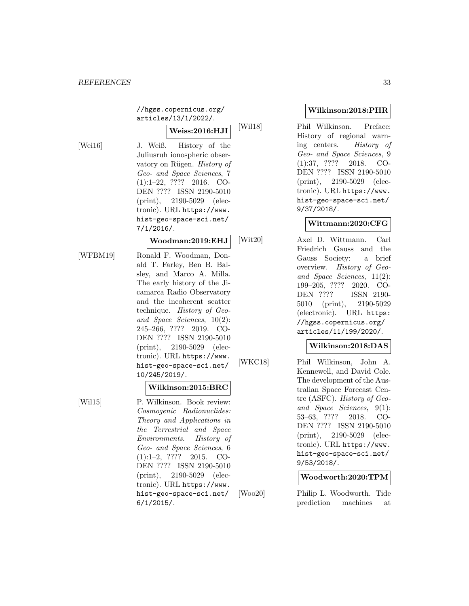//hgss.copernicus.org/ articles/13/1/2022/.

**Weiss:2016:HJI**

[Wei16] J. Weiß. History of the Juliusruh ionospheric observatory on Rügen. History of Geo- and Space Sciences, 7 (1):1–22, ???? 2016. CO-DEN ???? ISSN 2190-5010 (print), 2190-5029 (electronic). URL https://www. hist-geo-space-sci.net/ 7/1/2016/.

#### **Woodman:2019:EHJ**

[WFBM19] Ronald F. Woodman, Donald T. Farley, Ben B. Balsley, and Marco A. Milla. The early history of the Jicamarca Radio Observatory and the incoherent scatter technique. History of Geoand Space Sciences, 10(2): 245–266, ???? 2019. CO-DEN ???? ISSN 2190-5010 (print), 2190-5029 (electronic). URL https://www. hist-geo-space-sci.net/ 10/245/2019/.

### **Wilkinson:2015:BRC**

[Wil15] P. Wilkinson. Book review: Cosmogenic Radionuclides: Theory and Applications in the Terrestrial and Space Environments. History of Geo- and Space Sciences, 6 (1):1–2, ???? 2015. CO-DEN ???? ISSN 2190-5010 (print), 2190-5029 (electronic). URL https://www. hist-geo-space-sci.net/ 6/1/2015/.

### **Wilkinson:2018:PHR**

[Wil18] Phil Wilkinson. Preface: History of regional warning centers. History of Geo- and Space Sciences, 9 (1):37, ???? 2018. CO-DEN ???? ISSN 2190-5010 (print), 2190-5029 (electronic). URL https://www. hist-geo-space-sci.net/ 9/37/2018/.

### **Wittmann:2020:CFG**

[Wit20] Axel D. Wittmann. Carl Friedrich Gauss and the Gauss Society: a brief overview. History of Geoand Space Sciences, 11(2): 199–205, ???? 2020. CO-DEN ???? ISSN 2190- 5010 (print), 2190-5029 (electronic). URL https: //hgss.copernicus.org/ articles/11/199/2020/.

### **Wilkinson:2018:DAS**

[WKC18] Phil Wilkinson, John A. Kennewell, and David Cole. The development of the Australian Space Forecast Centre (ASFC). History of Geoand Space Sciences, 9(1): 53–63, ???? 2018. CO-DEN ???? ISSN 2190-5010 (print), 2190-5029 (electronic). URL https://www. hist-geo-space-sci.net/ 9/53/2018/.

### **Woodworth:2020:TPM**

[Woo20] Philip L. Woodworth. Tide prediction machines at